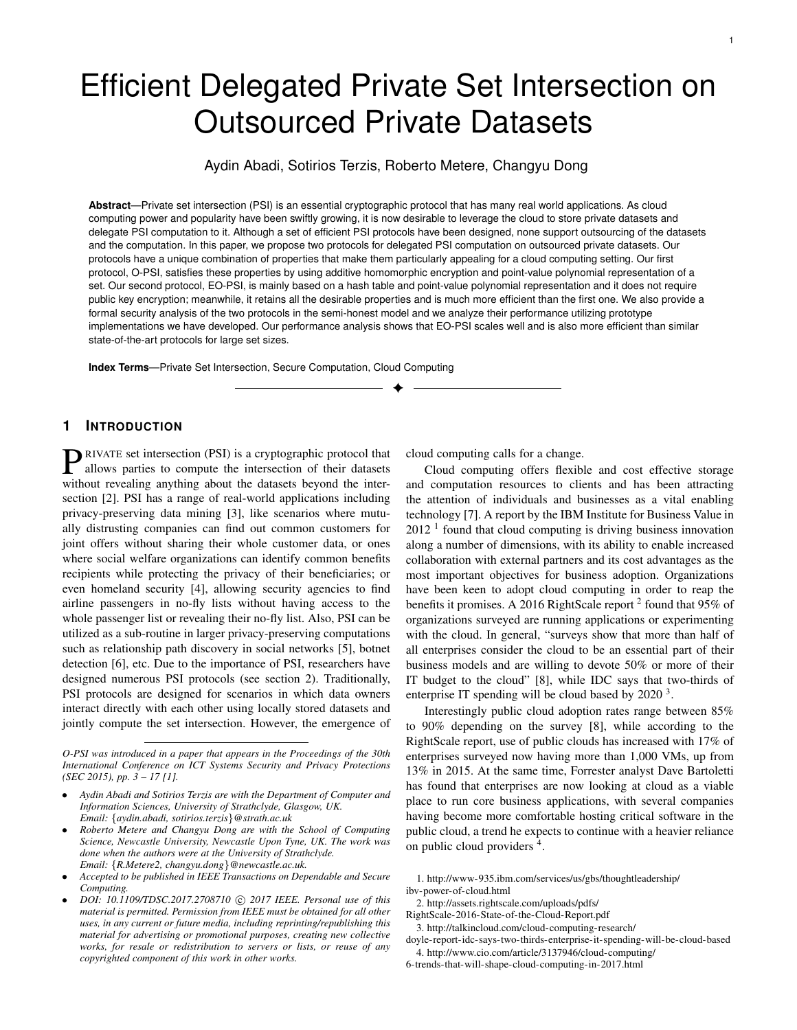# Efficient Delegated Private Set Intersection on Outsourced Private Datasets

Aydin Abadi, Sotirios Terzis, Roberto Metere, Changyu Dong

**Abstract**—Private set intersection (PSI) is an essential cryptographic protocol that has many real world applications. As cloud computing power and popularity have been swiftly growing, it is now desirable to leverage the cloud to store private datasets and delegate PSI computation to it. Although a set of efficient PSI protocols have been designed, none support outsourcing of the datasets and the computation. In this paper, we propose two protocols for delegated PSI computation on outsourced private datasets. Our protocols have a unique combination of properties that make them particularly appealing for a cloud computing setting. Our first protocol, O-PSI, satisfies these properties by using additive homomorphic encryption and point-value polynomial representation of a set. Our second protocol, EO-PSI, is mainly based on a hash table and point-value polynomial representation and it does not require public key encryption; meanwhile, it retains all the desirable properties and is much more efficient than the first one. We also provide a formal security analysis of the two protocols in the semi-honest model and we analyze their performance utilizing prototype implementations we have developed. Our performance analysis shows that EO-PSI scales well and is also more efficient than similar state-of-the-art protocols for large set sizes.

✦

**Index Terms**—Private Set Intersection, Secure Computation, Cloud Computing

# **1 INTRODUCTION**

**P**RIVATE set intersection (PSI) is a cryptographic protocol that allows parties to compute the intersection of their datasets allows parties to compute the intersection of their datasets without revealing anything about the datasets beyond the intersection [2]. PSI has a range of real-world applications including privacy-preserving data mining [3], like scenarios where mutually distrusting companies can find out common customers for joint offers without sharing their whole customer data, or ones where social welfare organizations can identify common benefits recipients while protecting the privacy of their beneficiaries; or even homeland security [4], allowing security agencies to find airline passengers in no-fly lists without having access to the whole passenger list or revealing their no-fly list. Also, PSI can be utilized as a sub-routine in larger privacy-preserving computations such as relationship path discovery in social networks [5], botnet detection [6], etc. Due to the importance of PSI, researchers have designed numerous PSI protocols (see section 2). Traditionally, PSI protocols are designed for scenarios in which data owners interact directly with each other using locally stored datasets and jointly compute the set intersection. However, the emergence of

*O-PSI was introduced in a paper that appears in the Proceedings of the 30th International Conference on ICT Systems Security and Privacy Protections (SEC 2015), pp. 3 – 17 [1].*

- *Aydin Abadi and Sotirios Terzis are with the Department of Computer and Information Sciences, University of Strathclyde, Glasgow, UK. Email:* {*aydin.abadi, sotirios.terzis*}*@strath.ac.uk*
- *Roberto Metere and Changyu Dong are with the School of Computing Science, Newcastle University, Newcastle Upon Tyne, UK. The work was done when the authors were at the University of Strathclyde. Email:* {*R.Metere2, changyu.dong*}*@newcastle.ac.uk.*
- *Accepted to be published in IEEE Transactions on Dependable and Secure Computing.*
- *DOI:* 10.1109/TDSC.2017.2708710 © 2017 IEEE. Personal use of this *material is permitted. Permission from IEEE must be obtained for all other uses, in any current or future media, including reprinting/republishing this material for advertising or promotional purposes, creating new collective works, for resale or redistribution to servers or lists, or reuse of any copyrighted component of this work in other works.*

cloud computing calls for a change.

Cloud computing offers flexible and cost effective storage and computation resources to clients and has been attracting the attention of individuals and businesses as a vital enabling technology [7]. A report by the IBM Institute for Business Value in  $2012<sup>1</sup>$  found that cloud computing is driving business innovation along a number of dimensions, with its ability to enable increased collaboration with external partners and its cost advantages as the most important objectives for business adoption. Organizations have been keen to adopt cloud computing in order to reap the benefits it promises. A 2016 RightScale report  $2$  found that 95% of organizations surveyed are running applications or experimenting with the cloud. In general, "surveys show that more than half of all enterprises consider the cloud to be an essential part of their business models and are willing to devote 50% or more of their IT budget to the cloud" [8], while IDC says that two-thirds of enterprise IT spending will be cloud based by 2020<sup>3</sup>.

Interestingly public cloud adoption rates range between 85% to 90% depending on the survey [8], while according to the RightScale report, use of public clouds has increased with 17% of enterprises surveyed now having more than 1,000 VMs, up from 13% in 2015. At the same time, Forrester analyst Dave Bartoletti has found that enterprises are now looking at cloud as a viable place to run core business applications, with several companies having become more comfortable hosting critical software in the public cloud, a trend he expects to continue with a heavier reliance on public cloud providers <sup>4</sup>.

- 1. http://www-935.ibm.com/services/us/gbs/thoughtleadership/ ibv-power-of-cloud.html
- 2. http://assets.rightscale.com/uploads/pdfs/
- RightScale-2016-State-of-the-Cloud-Report.pdf
- 3. http://talkincloud.com/cloud-computing-research/

6-trends-that-will-shape-cloud-computing-in-2017.html

doyle-report-idc-says-two-thirds-enterprise-it-spending-will-be-cloud-based 4. http://www.cio.com/article/3137946/cloud-computing/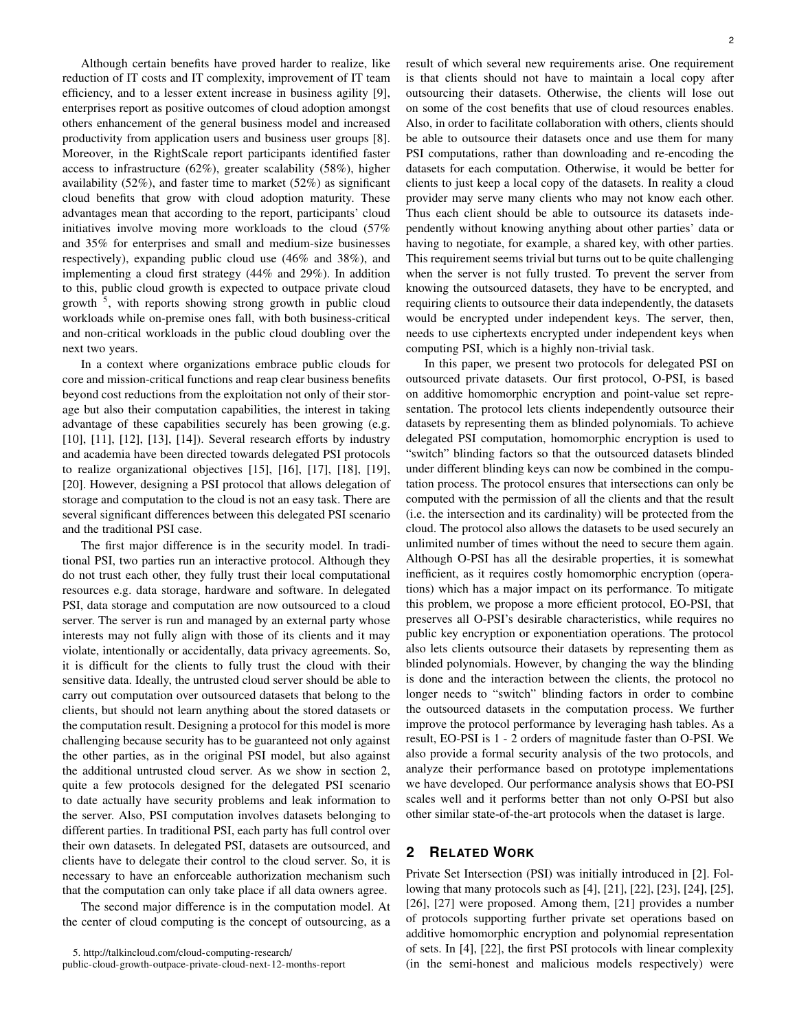Although certain benefits have proved harder to realize, like reduction of IT costs and IT complexity, improvement of IT team efficiency, and to a lesser extent increase in business agility [9], enterprises report as positive outcomes of cloud adoption amongst others enhancement of the general business model and increased productivity from application users and business user groups [8]. Moreover, in the RightScale report participants identified faster access to infrastructure (62%), greater scalability (58%), higher availability (52%), and faster time to market (52%) as significant cloud benefits that grow with cloud adoption maturity. These advantages mean that according to the report, participants' cloud initiatives involve moving more workloads to the cloud (57% and 35% for enterprises and small and medium-size businesses respectively), expanding public cloud use (46% and 38%), and implementing a cloud first strategy (44% and 29%). In addition to this, public cloud growth is expected to outpace private cloud growth <sup>5</sup>, with reports showing strong growth in public cloud workloads while on-premise ones fall, with both business-critical and non-critical workloads in the public cloud doubling over the next two years.

In a context where organizations embrace public clouds for core and mission-critical functions and reap clear business benefits beyond cost reductions from the exploitation not only of their storage but also their computation capabilities, the interest in taking advantage of these capabilities securely has been growing (e.g. [10], [11], [12], [13], [14]). Several research efforts by industry and academia have been directed towards delegated PSI protocols to realize organizational objectives [15], [16], [17], [18], [19], [20]. However, designing a PSI protocol that allows delegation of storage and computation to the cloud is not an easy task. There are several significant differences between this delegated PSI scenario and the traditional PSI case.

The first major difference is in the security model. In traditional PSI, two parties run an interactive protocol. Although they do not trust each other, they fully trust their local computational resources e.g. data storage, hardware and software. In delegated PSI, data storage and computation are now outsourced to a cloud server. The server is run and managed by an external party whose interests may not fully align with those of its clients and it may violate, intentionally or accidentally, data privacy agreements. So, it is difficult for the clients to fully trust the cloud with their sensitive data. Ideally, the untrusted cloud server should be able to carry out computation over outsourced datasets that belong to the clients, but should not learn anything about the stored datasets or the computation result. Designing a protocol for this model is more challenging because security has to be guaranteed not only against the other parties, as in the original PSI model, but also against the additional untrusted cloud server. As we show in section 2, quite a few protocols designed for the delegated PSI scenario to date actually have security problems and leak information to the server. Also, PSI computation involves datasets belonging to different parties. In traditional PSI, each party has full control over their own datasets. In delegated PSI, datasets are outsourced, and clients have to delegate their control to the cloud server. So, it is necessary to have an enforceable authorization mechanism such that the computation can only take place if all data owners agree.

The second major difference is in the computation model. At the center of cloud computing is the concept of outsourcing, as a result of which several new requirements arise. One requirement is that clients should not have to maintain a local copy after outsourcing their datasets. Otherwise, the clients will lose out on some of the cost benefits that use of cloud resources enables. Also, in order to facilitate collaboration with others, clients should be able to outsource their datasets once and use them for many PSI computations, rather than downloading and re-encoding the datasets for each computation. Otherwise, it would be better for clients to just keep a local copy of the datasets. In reality a cloud provider may serve many clients who may not know each other. Thus each client should be able to outsource its datasets independently without knowing anything about other parties' data or having to negotiate, for example, a shared key, with other parties. This requirement seems trivial but turns out to be quite challenging when the server is not fully trusted. To prevent the server from knowing the outsourced datasets, they have to be encrypted, and requiring clients to outsource their data independently, the datasets would be encrypted under independent keys. The server, then, needs to use ciphertexts encrypted under independent keys when computing PSI, which is a highly non-trivial task.

In this paper, we present two protocols for delegated PSI on outsourced private datasets. Our first protocol, O-PSI, is based on additive homomorphic encryption and point-value set representation. The protocol lets clients independently outsource their datasets by representing them as blinded polynomials. To achieve delegated PSI computation, homomorphic encryption is used to "switch" blinding factors so that the outsourced datasets blinded under different blinding keys can now be combined in the computation process. The protocol ensures that intersections can only be computed with the permission of all the clients and that the result (i.e. the intersection and its cardinality) will be protected from the cloud. The protocol also allows the datasets to be used securely an unlimited number of times without the need to secure them again. Although O-PSI has all the desirable properties, it is somewhat inefficient, as it requires costly homomorphic encryption (operations) which has a major impact on its performance. To mitigate this problem, we propose a more efficient protocol, EO-PSI, that preserves all O-PSI's desirable characteristics, while requires no public key encryption or exponentiation operations. The protocol also lets clients outsource their datasets by representing them as blinded polynomials. However, by changing the way the blinding is done and the interaction between the clients, the protocol no longer needs to "switch" blinding factors in order to combine the outsourced datasets in the computation process. We further improve the protocol performance by leveraging hash tables. As a result, EO-PSI is 1 - 2 orders of magnitude faster than O-PSI. We also provide a formal security analysis of the two protocols, and analyze their performance based on prototype implementations we have developed. Our performance analysis shows that EO-PSI scales well and it performs better than not only O-PSI but also other similar state-of-the-art protocols when the dataset is large.

# **2 RELATED WORK**

Private Set Intersection (PSI) was initially introduced in [2]. Following that many protocols such as [4], [21], [22], [23], [24], [25], [26], [27] were proposed. Among them, [21] provides a number of protocols supporting further private set operations based on additive homomorphic encryption and polynomial representation of sets. In [4], [22], the first PSI protocols with linear complexity (in the semi-honest and malicious models respectively) were

<sup>5.</sup> http://talkincloud.com/cloud-computing-research/

public-cloud-growth-outpace-private-cloud-next-12-months-report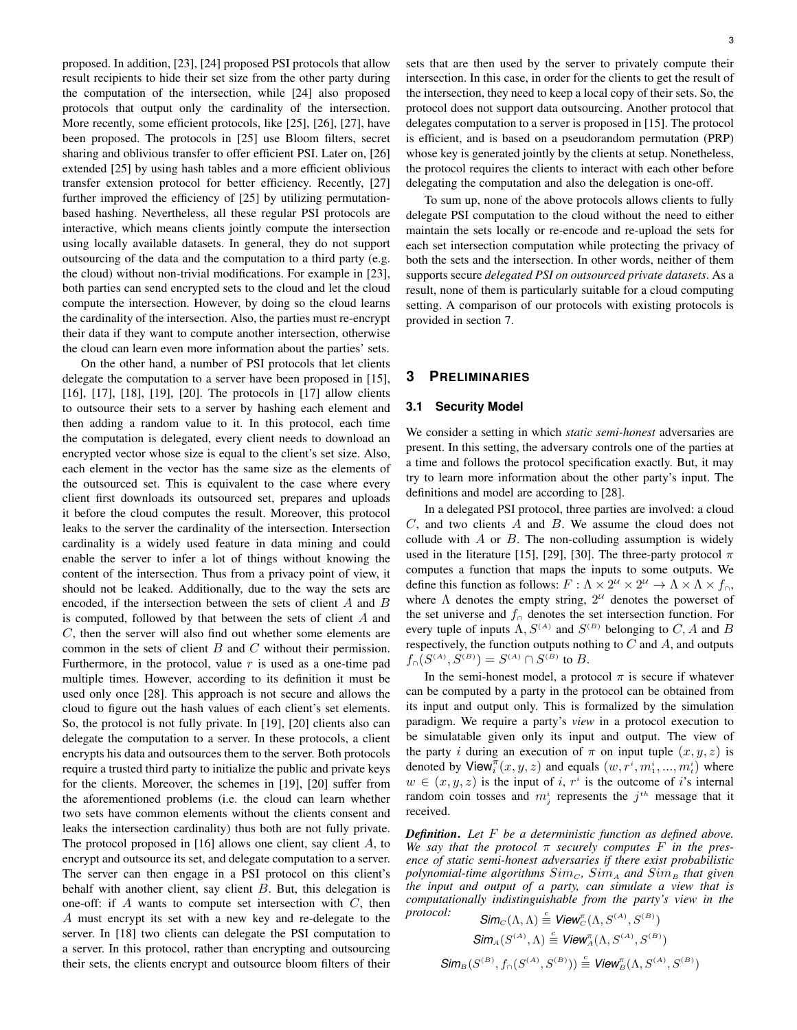proposed. In addition, [23], [24] proposed PSI protocols that allow result recipients to hide their set size from the other party during the computation of the intersection, while [24] also proposed protocols that output only the cardinality of the intersection. More recently, some efficient protocols, like [25], [26], [27], have been proposed. The protocols in [25] use Bloom filters, secret sharing and oblivious transfer to offer efficient PSI. Later on, [26] extended [25] by using hash tables and a more efficient oblivious transfer extension protocol for better efficiency. Recently, [27] further improved the efficiency of [25] by utilizing permutationbased hashing. Nevertheless, all these regular PSI protocols are interactive, which means clients jointly compute the intersection using locally available datasets. In general, they do not support outsourcing of the data and the computation to a third party (e.g. the cloud) without non-trivial modifications. For example in [23], both parties can send encrypted sets to the cloud and let the cloud compute the intersection. However, by doing so the cloud learns the cardinality of the intersection. Also, the parties must re-encrypt their data if they want to compute another intersection, otherwise the cloud can learn even more information about the parties' sets.

On the other hand, a number of PSI protocols that let clients delegate the computation to a server have been proposed in [15], [16], [17], [18], [19], [20]. The protocols in [17] allow clients to outsource their sets to a server by hashing each element and then adding a random value to it. In this protocol, each time the computation is delegated, every client needs to download an encrypted vector whose size is equal to the client's set size. Also, each element in the vector has the same size as the elements of the outsourced set. This is equivalent to the case where every client first downloads its outsourced set, prepares and uploads it before the cloud computes the result. Moreover, this protocol leaks to the server the cardinality of the intersection. Intersection cardinality is a widely used feature in data mining and could enable the server to infer a lot of things without knowing the content of the intersection. Thus from a privacy point of view, it should not be leaked. Additionally, due to the way the sets are encoded, if the intersection between the sets of client A and B is computed, followed by that between the sets of client  $A$  and C, then the server will also find out whether some elements are common in the sets of client  $B$  and  $C$  without their permission. Furthermore, in the protocol, value  $r$  is used as a one-time pad multiple times. However, according to its definition it must be used only once [28]. This approach is not secure and allows the cloud to figure out the hash values of each client's set elements. So, the protocol is not fully private. In [19], [20] clients also can delegate the computation to a server. In these protocols, a client encrypts his data and outsources them to the server. Both protocols require a trusted third party to initialize the public and private keys for the clients. Moreover, the schemes in [19], [20] suffer from the aforementioned problems (i.e. the cloud can learn whether two sets have common elements without the clients consent and leaks the intersection cardinality) thus both are not fully private. The protocol proposed in  $[16]$  allows one client, say client  $A$ , to encrypt and outsource its set, and delegate computation to a server. The server can then engage in a PSI protocol on this client's behalf with another client, say client  $B$ . But, this delegation is one-off: if  $A$  wants to compute set intersection with  $C$ , then A must encrypt its set with a new key and re-delegate to the server. In [18] two clients can delegate the PSI computation to a server. In this protocol, rather than encrypting and outsourcing their sets, the clients encrypt and outsource bloom filters of their

sets that are then used by the server to privately compute their intersection. In this case, in order for the clients to get the result of the intersection, they need to keep a local copy of their sets. So, the protocol does not support data outsourcing. Another protocol that delegates computation to a server is proposed in [15]. The protocol is efficient, and is based on a pseudorandom permutation (PRP) whose key is generated jointly by the clients at setup. Nonetheless, the protocol requires the clients to interact with each other before delegating the computation and also the delegation is one-off.

To sum up, none of the above protocols allows clients to fully delegate PSI computation to the cloud without the need to either maintain the sets locally or re-encode and re-upload the sets for each set intersection computation while protecting the privacy of both the sets and the intersection. In other words, neither of them supports secure *delegated PSI on outsourced private datasets*. As a result, none of them is particularly suitable for a cloud computing setting. A comparison of our protocols with existing protocols is provided in section 7.

# **3 PRELIMINARIES**

#### **3.1 Security Model**

We consider a setting in which *static semi-honest* adversaries are present. In this setting, the adversary controls one of the parties at a time and follows the protocol specification exactly. But, it may try to learn more information about the other party's input. The definitions and model are according to [28].

In a delegated PSI protocol, three parties are involved: a cloud  $C$ , and two clients  $A$  and  $B$ . We assume the cloud does not collude with  $A$  or  $B$ . The non-colluding assumption is widely used in the literature [15], [29], [30]. The three-party protocol  $\pi$ computes a function that maps the inputs to some outputs. We define this function as follows:  $F : \Lambda \times 2^{\mathcal{U}} \times 2^{\mathcal{U}} \to \Lambda \times \Lambda \times f_{\cap}$ , where  $\Lambda$  denotes the empty string,  $2^{\mathcal{U}}$  denotes the powerset of the set universe and  $f_0$  denotes the set intersection function. For every tuple of inputs  $\Lambda, S^{(A)}$  and  $S^{(B)}$  belonging to  $C, A$  and  $B$ respectively, the function outputs nothing to  $C$  and  $A$ , and outputs  $f_\cap(S^{(A)},S^{(B)})=S^{(A)}\cap S^{(B)}$  to  $B.$ 

In the semi-honest model, a protocol  $\pi$  is secure if whatever can be computed by a party in the protocol can be obtained from its input and output only. This is formalized by the simulation paradigm. We require a party's *view* in a protocol execution to be simulatable given only its input and output. The view of the party i during an execution of  $\pi$  on input tuple  $(x, y, z)$  is denoted by View $\frac{\pi}{i}(x, y, z)$  and equals  $(w, r^i, m^i_1, ..., m^i_t)$  where  $w \in (x, y, z)$  is the input of i,  $r<sup>i</sup>$  is the outcome of i's internal random coin tosses and  $m_j^i$  represents the  $j^{th}$  message that it received.

*Definition*. *Let* F *be a deterministic function as defined above.* We say that the protocol  $\pi$  securely computes  $F$  in the pres*ence of static semi-honest adversaries if there exist probabilistic polynomial-time algorithms*  $Sim_c$ ,  $Sim_A$  *and*  $Sim_B$  *that given the input and output of a party, can simulate a view that is computationally indistinguishable from the party's view in the protocol:*  $\mathsf{Sim}_{C}(\Lambda, \Lambda) \stackrel{c}{\equiv} \mathsf{View}_{C}^{\pi}(\Lambda, S^{(A)}, S^{(B)})$ 

$$
\begin{aligned}\n\mathbf{Sim}_{C}(\Lambda, \Lambda) &= \mathbf{View}_{C}(\Lambda, S^{\times \vee}, S^{\times \vee}) \\
\mathbf{Sim}_{A}(S^{(A)}, \Lambda) & \stackrel{\triangle}{=} \mathbf{View}_{A}^{T}(\Lambda, S^{(A)}, S^{(B)}) \\
\mathbf{Sim}_{B}(S^{(B)}, f_{\cap}(S^{(A)}, S^{(B)})) & \stackrel{\triangle}{=} \mathbf{View}_{B}^{T}(\Lambda, S^{(A)}, S^{(B)})\n\end{aligned}
$$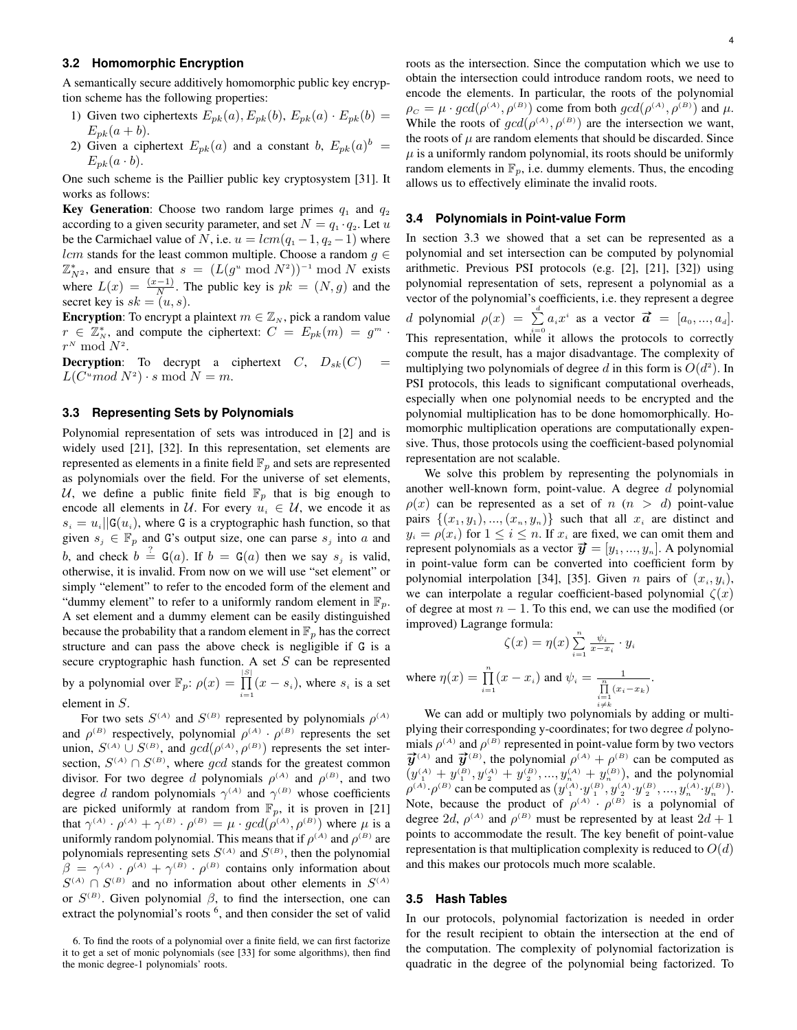#### **3.2 Homomorphic Encryption**

A semantically secure additively homomorphic public key encryption scheme has the following properties:

- 1) Given two ciphertexts  $E_{pk}(a)$ ,  $E_{pk}(b)$ ,  $E_{pk}(a) \cdot E_{pk}(b)$  =  $E_{pk}(a+b)$ .
- 2) Given a ciphertext  $E_{pk}(a)$  and a constant b,  $E_{pk}(a)^b =$  $E_{nk}(a \cdot b)$ .

One such scheme is the Paillier public key cryptosystem [31]. It works as follows:

**Key Generation:** Choose two random large primes  $q_1$  and  $q_2$ according to a given security parameter, and set  $N = q_1 \cdot q_2$ . Let u be the Carmichael value of N, i.e.  $u = lcm(q_1 - 1, q_2 - 1)$  where  $lcm$  stands for the least common multiple. Choose a random  $g \in$  $\mathbb{Z}_{N^2}^*$ , and ensure that  $s = (L(g^u \bmod N^2))^{-1} \bmod N$  exists where  $L(x) = \frac{(x-1)}{N}$ . The public key is  $pk = (N, g)$  and the secret key is  $sk = (u, s)$ .

**Encryption**: To encrypt a plaintext  $m \in \mathbb{Z}_N$ , pick a random value  $r \in \mathbb{Z}_N^*$ , and compute the ciphertext:  $C = E_{pk}(m) = g^m$ .  $r^N \bmod N^2$ .

**Decryption:** To decrypt a ciphertext  $C$ ,  $D_{sk}(C)$  $L(C^u mod N^2) \cdot s \mod N = m.$ 

#### **3.3 Representing Sets by Polynomials**

Polynomial representation of sets was introduced in [2] and is widely used [21], [32]. In this representation, set elements are represented as elements in a finite field  $\mathbb{F}_p$  and sets are represented as polynomials over the field. For the universe of set elements, U, we define a public finite field  $\mathbb{F}_p$  that is big enough to encode all elements in  $U$ . For every  $u_i \in U$ , we encode it as  $s_i = u_i || G(u_i)$ , where G is a cryptographic hash function, so that given  $s_j \in \mathbb{F}_p$  and G's output size, one can parse  $s_j$  into a and b, and check  $b = G(a)$ . If  $b = G(a)$  then we say  $s_j$  is valid, otherwise, it is invalid. From now on we will use "set element" or simply "element" to refer to the encoded form of the element and "dummy element" to refer to a uniformly random element in  $\mathbb{F}_p$ . A set element and a dummy element can be easily distinguished because the probability that a random element in  $\mathbb{F}_p$  has the correct structure and can pass the above check is negligible if G is a secure cryptographic hash function. A set  $S$  can be represented by a polynomial over  $\mathbb{F}_p$ :  $\rho(x) = \prod_{i=1}^{|S|} (x - s_i)$ , where  $s_i$  is a set element in S.

For two sets  $S^{(A)}$  and  $S^{(B)}$  represented by polynomials  $\rho^{(A)}$ and  $\rho^{(B)}$  respectively, polynomial  $\rho^{(A)} \cdot \rho^{(B)}$  represents the set union,  $S^{(A)} \cup S^{(B)}$ , and  $gcd(\rho^{(A)}, \rho^{(B)})$  represents the set intersection,  $S^{(A)} \cap S^{(B)}$ , where gcd stands for the greatest common divisor. For two degree d polynomials  $\rho^{(A)}$  and  $\rho^{(B)}$ , and two degree d random polynomials  $\gamma^{(A)}$  and  $\gamma^{(B)}$  whose coefficients are picked uniformly at random from  $\mathbb{F}_p$ , it is proven in [21] that  $\gamma^{(A)} \cdot \rho^{(A)} + \gamma^{(B)} \cdot \rho^{(B)} = \mu \cdot \gcd(\rho^{(A)}, \rho^{(B)})$  where  $\mu$  is a uniformly random polynomial. This means that if  $\rho^{(A)}$  and  $\rho^{(B)}$  are polynomials representing sets  $S^{(A)}$  and  $S^{(B)}$ , then the polynomial  $\beta = \gamma^{(A)} \cdot \rho^{(A)} + \gamma^{(B)} \cdot \rho^{(B)}$  contains only information about  $S^{(A)} \cap S^{(B)}$  and no information about other elements in  $S^{(A)}$ or  $S^{(B)}$ . Given polynomial  $\beta$ , to find the intersection, one can extract the polynomial's roots  $<sup>6</sup>$ , and then consider the set of valid</sup> roots as the intersection. Since the computation which we use to obtain the intersection could introduce random roots, we need to encode the elements. In particular, the roots of the polynomial  $\rho_C = \mu \cdot \gcd(\rho^{(A)}, \rho^{(B)})$  come from both  $\gcd(\rho^{(A)}, \rho^{(B)})$  and  $\mu$ . While the roots of  $gcd(\rho^{(A)}, \rho^{(B)})$  are the intersection we want, the roots of  $\mu$  are random elements that should be discarded. Since  $\mu$  is a uniformly random polynomial, its roots should be uniformly random elements in  $\mathbb{F}_p$ , i.e. dummy elements. Thus, the encoding allows us to effectively eliminate the invalid roots.

#### **3.4 Polynomials in Point-value Form**

In section 3.3 we showed that a set can be represented as a polynomial and set intersection can be computed by polynomial arithmetic. Previous PSI protocols (e.g. [2], [21], [32]) using polynomial representation of sets, represent a polynomial as a vector of the polynomial's coefficients, i.e. they represent a degree d polynomial  $\rho(x) = \sum_{i=1}^{d} a_i x^i$  as a vector  $\vec{a} = [a_0, ..., a_d]$ . This representation, while it allows the protocols to correctly compute the result, has a major disadvantage. The complexity of multiplying two polynomials of degree d in this form is  $O(d^2)$ . In PSI protocols, this leads to significant computational overheads, especially when one polynomial needs to be encrypted and the polynomial multiplication has to be done homomorphically. Homomorphic multiplication operations are computationally expensive. Thus, those protocols using the coefficient-based polynomial representation are not scalable.

We solve this problem by representing the polynomials in another well-known form, point-value. A degree  $d$  polynomial  $\rho(x)$  can be represented as a set of  $n (n > d)$  point-value pairs  $\{(x_1, y_1), ..., (x_n, y_n)\}\$  such that all  $x_i$  are distinct and  $y_i = \rho(x_i)$  for  $1 \leq i \leq n$ . If  $x_i$  are fixed, we can omit them and represent polynomials as a vector  $\vec{y} = [y_1, ..., y_n]$ . A polynomial in point-value form can be converted into coefficient form by polynomial interpolation [34], [35]. Given *n* pairs of  $(x_i, y_i)$ , we can interpolate a regular coefficient-based polynomial  $\zeta(x)$ of degree at most  $n - 1$ . To this end, we can use the modified (or improved) Lagrange formula:

$$
\zeta(x) = \eta(x) \sum_{i=1}^{n} \frac{\psi_i}{x - x_i} \cdot y_i
$$

where  $\eta(x) = \prod_{i=1}^{n} (x - x_i)$  and  $\psi_i = \frac{1}{\prod_{i=1}^{n} (x_i - x_k)}$ .

We can add or multiply two polynomials by adding or multiplying their corresponding y-coordinates; for two degree  $d$  polynomials  $\rho^{(A)}$  and  $\rho^{(B)}$  represented in point-value form by two vectors  $\vec{y}^{(A)}$  and  $\vec{y}^{(B)}$ , the polynomial  $\rho^{(A)} + \rho^{(B)}$  can be computed as  $(y_1^{(A)} + y_1^{(B)}, y_2^{(A)} + y_2^{(B)}, ..., y_n^{(A)} + y_n^{(B)}),$  and the polynomial  $\rho^{(A)} \cdot \rho^{(B)}$  can be computed as  $(y_1^{(A)} \cdot y_1^{(B)}, y_2^{(A)} \cdot y_2^{(B)}, ..., y_n^{(A)} \cdot y_n^{(B)}).$ Note, because the product of  $\rho^{(A)} \cdot \rho^{(B)}$  is a polynomial of degree 2d,  $\rho^{(A)}$  and  $\rho^{(B)}$  must be represented by at least  $2d + 1$ points to accommodate the result. The key benefit of point-value representation is that multiplication complexity is reduced to  $O(d)$ and this makes our protocols much more scalable.

#### **3.5 Hash Tables**

In our protocols, polynomial factorization is needed in order for the result recipient to obtain the intersection at the end of the computation. The complexity of polynomial factorization is quadratic in the degree of the polynomial being factorized. To

<sup>6.</sup> To find the roots of a polynomial over a finite field, we can first factorize it to get a set of monic polynomials (see [33] for some algorithms), then find the monic degree-1 polynomials' roots.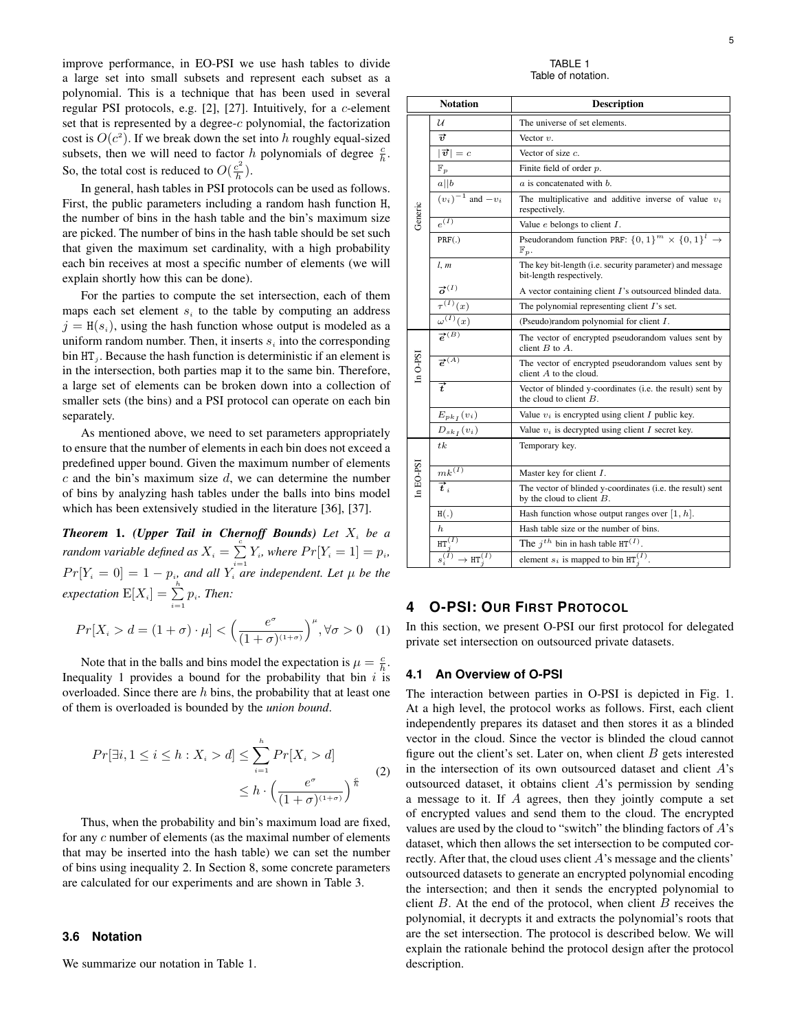improve performance, in EO-PSI we use hash tables to divide a large set into small subsets and represent each subset as a polynomial. This is a technique that has been used in several regular PSI protocols, e.g. [2], [27]. Intuitively, for a c-element set that is represented by a degree- $c$  polynomial, the factorization cost is  $O(c^2)$ . If we break down the set into h roughly equal-sized subsets, then we will need to factor h polynomials of degree  $\frac{c}{h}$ . So, the total cost is reduced to  $O(\frac{c^2}{h})$  $\frac{c^2}{h}).$ 

In general, hash tables in PSI protocols can be used as follows. First, the public parameters including a random hash function H, the number of bins in the hash table and the bin's maximum size are picked. The number of bins in the hash table should be set such that given the maximum set cardinality, with a high probability each bin receives at most a specific number of elements (we will explain shortly how this can be done).

For the parties to compute the set intersection, each of them maps each set element  $s_i$  to the table by computing an address  $j = H(s<sub>i</sub>)$ , using the hash function whose output is modeled as a uniform random number. Then, it inserts  $s_i$  into the corresponding bin  $HT_j$ . Because the hash function is deterministic if an element is in the intersection, both parties map it to the same bin. Therefore, a large set of elements can be broken down into a collection of smaller sets (the bins) and a PSI protocol can operate on each bin separately.

As mentioned above, we need to set parameters appropriately to ensure that the number of elements in each bin does not exceed a predefined upper bound. Given the maximum number of elements  $c$  and the bin's maximum size  $d$ , we can determine the number of bins by analyzing hash tables under the balls into bins model which has been extensively studied in the literature [36], [37].

*Theorem* 1. *(Upper Tail in Chernoff Bounds) Let*  $X_i$  *be a random variable defined as*  $X_i = \sum_{i=1}^{c} Y_i$ , where  $Pr[Y_i = 1] = p_i$ ,  $Pr[Y_i = 0] = 1 - p_i$ , and all  $Y_i$  are independent. Let  $\mu$  be the *expectation*  $E[X_i] = \sum_{i=1}^h p_i$ . *Then:* 

$$
Pr[X_i > d = (1 + \sigma) \cdot \mu] < \left(\frac{e^{\sigma}}{(1 + \sigma)^{(1 + \sigma)}}\right)^{\mu}, \forall \sigma > 0 \quad (1)
$$

Note that in the balls and bins model the expectation is  $\mu = \frac{c}{h}$ . Inequality 1 provides a bound for the probability that bin  $i$  is overloaded. Since there are  $h$  bins, the probability that at least one of them is overloaded is bounded by the *union bound*.

$$
Pr[\exists i, 1 \le i \le h : X_i > d] \le \sum_{i=1}^{h} Pr[X_i > d]
$$
  

$$
\le h \cdot \left(\frac{e^{\sigma}}{(1+\sigma)^{(1+\sigma)}}\right)^{\frac{c}{h}}
$$
 (2)

Thus, when the probability and bin's maximum load are fixed, for any c number of elements (as the maximal number of elements that may be inserted into the hash table) we can set the number of bins using inequality 2. In Section 8, some concrete parameters are calculated for our experiments and are shown in Table 3.

#### **3.6 Notation**

We summarize our notation in Table 1.

TABLE 1 Table of notation.

|           | <b>Notation</b>                                             | <b>Description</b>                                                                         |  |  |  |  |  |  |  |
|-----------|-------------------------------------------------------------|--------------------------------------------------------------------------------------------|--|--|--|--|--|--|--|
|           | и                                                           | The universe of set elements.                                                              |  |  |  |  |  |  |  |
| Generic   | $\vec{v}$                                                   | Vector $v$ .                                                                               |  |  |  |  |  |  |  |
|           | $ \vec{v} =c$                                               | Vector of size c.                                                                          |  |  |  |  |  |  |  |
|           | $\mathbb{F}_p$                                              | Finite field of order p.                                                                   |  |  |  |  |  |  |  |
|           | a  b                                                        | $a$ is concatenated with $b$ .                                                             |  |  |  |  |  |  |  |
|           | $(v_i)^{-1}$ and $-v_i$                                     | The multiplicative and additive inverse of value $v_i$<br>respectively.                    |  |  |  |  |  |  |  |
|           | $e^{(I)}$                                                   | Value $e$ belongs to client $I$ .                                                          |  |  |  |  |  |  |  |
|           | PRF(.)                                                      | Pseudorandom function PRF: $\{0, 1\}^m \times \{0, 1\}^l \rightarrow$<br>$\mathbb{F}_p$ .  |  |  |  |  |  |  |  |
|           | l, m                                                        | The key bit-length (i.e. security parameter) and message<br>bit-length respectively.       |  |  |  |  |  |  |  |
|           | $\vec{a}^{(I)}$                                             | A vector containing client I's outsourced blinded data.                                    |  |  |  |  |  |  |  |
|           | $\overline{\tau^{(I)}}(x)$                                  | The polynomial representing client $I$ 's set.                                             |  |  |  |  |  |  |  |
|           | $\omega^{(I)}(x)$                                           | (Pseudo)random polynomial for client $I$ .                                                 |  |  |  |  |  |  |  |
|           | $\overline{e^{(B)}}$                                        | The vector of encrypted pseudorandom values sent by<br>client $B$ to $A$ .                 |  |  |  |  |  |  |  |
| In O-PSI  | $\overline{e^{(A)}}$                                        | The vector of encrypted pseudorandom values sent by<br>client $A$ to the cloud.            |  |  |  |  |  |  |  |
|           | $\vec{t}$                                                   | Vector of blinded y-coordinates (i.e. the result) sent by<br>the cloud to client $B$ .     |  |  |  |  |  |  |  |
|           | $E_{pk}$ $(v_i)$                                            | Value $v_i$ is encrypted using client $I$ public key.                                      |  |  |  |  |  |  |  |
|           | $D_{sk_I}(v_i)$                                             | Value $v_i$ is decrypted using client I secret key.                                        |  |  |  |  |  |  |  |
|           | $t\bar{k}$                                                  | Temporary key.                                                                             |  |  |  |  |  |  |  |
|           | $mk^{(I)}$                                                  | Master key for client $I$ .                                                                |  |  |  |  |  |  |  |
| In EO-PSI | $\overline{\overrightarrow{t}}_i$                           | The vector of blinded y-coordinates (i.e. the result) sent<br>by the cloud to client $B$ . |  |  |  |  |  |  |  |
|           | H(.)                                                        | Hash function whose output ranges over $[1, h]$ .                                          |  |  |  |  |  |  |  |
|           | h                                                           | Hash table size or the number of bins.                                                     |  |  |  |  |  |  |  |
|           | $\mathrm{HT}^{\overline{(I)}}$                              | The $i^{th}$ bin in hash table $HT^{(I)}$ .                                                |  |  |  |  |  |  |  |
|           | $s_i^{(I)}$<br>$\rightarrow \overline{\text{HT}_{n}^{(I)}}$ | element $s_i$ is mapped to bin $\operatorname{HT}_i^{(I)}$ .                               |  |  |  |  |  |  |  |

# **4 O-PSI: OUR FIRST PROTOCOL**

In this section, we present O-PSI our first protocol for delegated private set intersection on outsourced private datasets.

#### **4.1 An Overview of O-PSI**

The interaction between parties in O-PSI is depicted in Fig. 1. At a high level, the protocol works as follows. First, each client independently prepares its dataset and then stores it as a blinded vector in the cloud. Since the vector is blinded the cloud cannot figure out the client's set. Later on, when client  $B$  gets interested in the intersection of its own outsourced dataset and client  $A$ 's outsourced dataset, it obtains client A's permission by sending a message to it. If  $A$  agrees, then they jointly compute a set of encrypted values and send them to the cloud. The encrypted values are used by the cloud to "switch" the blinding factors of  $A$ 's dataset, which then allows the set intersection to be computed correctly. After that, the cloud uses client A's message and the clients' outsourced datasets to generate an encrypted polynomial encoding the intersection; and then it sends the encrypted polynomial to client  $B$ . At the end of the protocol, when client  $B$  receives the polynomial, it decrypts it and extracts the polynomial's roots that are the set intersection. The protocol is described below. We will explain the rationale behind the protocol design after the protocol description.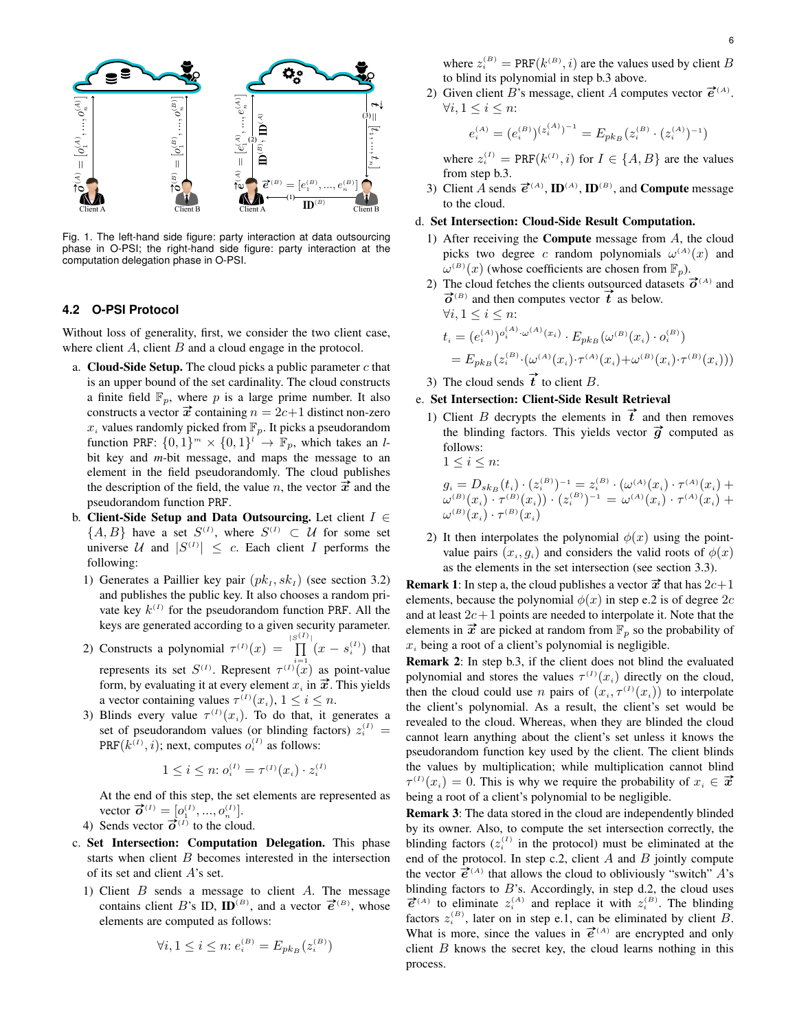

Fig. 1. The left-hand side figure: party interaction at data outsourcing phase in O-PSI; the right-hand side figure: party interaction at the computation delegation phase in O-PSI.

#### **4.2 O-PSI Protocol**

Without loss of generality, first, we consider the two client case, where client  $A$ , client  $B$  and a cloud engage in the protocol.

- a. **Cloud-Side Setup.** The cloud picks a public parameter  $c$  that is an upper bound of the set cardinality. The cloud constructs a finite field  $\mathbb{F}_p$ , where p is a large prime number. It also constructs a vector  $\vec{x}$  containing  $n = 2c+1$  distinct non-zero  $x_i$  values randomly picked from  $\mathbb{F}_p$ . It picks a pseudorandom function PRF:  $\{0,1\}^m \times \{0,1\}^l \rightarrow \mathbb{F}_p$ , which takes an *l*bit key and *m*-bit message, and maps the message to an element in the field pseudorandomly. The cloud publishes the description of the field, the value n, the vector  $\vec{x}$  and the pseudorandom function PRF.
- b. Client-Side Setup and Data Outsourcing. Let client  $I \in$  $\{A, B\}$  have a set  $S^{(I)}$ , where  $S^{(I)} \subset U$  for some set universe U and  $|S^{(I)}| \leq c$ . Each client I performs the following:
	- 1) Generates a Paillier key pair  $(pk_I, sk_I)$  (see section 3.2) and publishes the public key. It also chooses a random private key  $k^{(1)}$  for the pseudorandom function PRF. All the keys are generated according to a given security parameter.
	- 2) Constructs a polynomial  $\tau^{(I)}(x) = \prod_{i=1}^{|S^{(I)}|} (x s_i^{(I)})$  that represents its set  $S^{(I)}$ . Represent  $\tau^{(I)}(x)$  as point-value form, by evaluating it at every element  $x_i$  in  $\vec{x}$ . This yields a vector containing values  $\tau^{(1)}(x_i)$ ,  $1 \le i \le n$ .
	- 3) Blinds every value  $\tau^{(1)}(x_i)$ . To do that, it generates a set of pseudorandom values (or blinding factors)  $z_i^{(I)} =$ PRF( $k^{(I)}$ , *i*); next, computes  $o_i^{(I)}$  as follows:

$$
1 \leq i \leq n : o_i^{(I)} = \tau^{(I)}(x_i) \cdot z_i^{(I)}
$$

At the end of this step, the set elements are represented as vector  $\vec{\sigma}^{(I)} = [o_1^{(I)}, ..., o_n^{(I)}].$ 

- Sends vector  $\vec{\sigma}^{(1)}$ , ...,  $\sigma_{n-1}^{(1)}$ .<br>4) Sends vector  $\vec{\sigma}^{(1)}$  to the cloud.
- c. Set Intersection: Computation Delegation. This phase starts when client B becomes interested in the intersection of its set and client A's set.
	- 1) Client  $B$  sends a message to client  $A$ . The message contains client B's ID,  $\mathbf{ID}^{(B)}$ , and a vector  $\vec{e}^{(B)}$ , whose elements are computed as follows:

$$
\forall i, 1 \le i \le n \colon e_i^{(B)} = E_{pk_B}(z_i^{(B)})
$$

where  $z_i^{(B)} = PRF(k^{(B)}, i)$  are the values used by client B to blind its polynomial in step b.3 above.

2) Given client *B*'s message, client *A* computes vector  $\vec{e}^{(A)}$ .  $\forall i, 1 \leq i \leq n$ :

$$
e_i^{(A)} = (e_i^{(B)})^{(z_i^{(A)})^{-1}} = E_{pk_B}(z_i^{(B)} \cdot (z_i^{(A)})^{-1})
$$

where  $z_i^{(I)} = PRF(k^{(I)}, i)$  for  $I \in \{A, B\}$  are the values from step b.3.

3) Client A sends  $\vec{e}^{(A)}$ ,  $\mathbf{ID}^{(A)}$ ,  $\mathbf{ID}^{(B)}$ , and **Compute** message to the cloud.

#### d. Set Intersection: Cloud-Side Result Computation.

- 1) After receiving the **Compute** message from  $A$ , the cloud picks two degree c random polynomials  $\omega^{(A)}(x)$  and  $\omega^{(B)}(x)$  (whose coefficients are chosen from  $\mathbb{F}_p$ ).
- 2) The cloud fetches the clients outsourced datasets  $\vec{\sigma}^{(A)}$  and The cloud retches the clients outsourced data<br> $\vec{\sigma}^{(B)}$  and then computes vector  $\vec{t}$  as below.  $\forall i, 1 \leq i \leq n$ :

$$
t_i = (e_i^{(A)})^{o_i^{(A)} \cdot \omega^{(A)}(x_i)} \cdot E_{pk_B}(\omega^{(B)}(x_i) \cdot o_i^{(B)})
$$
  
= 
$$
E_{pk_B}(z_i^{(B)} \cdot (\omega^{(A)}(x_i) \cdot \tau^{(A)}(x_i) + \omega^{(B)}(x_i) \cdot \tau^{(B)}(x_i)))
$$

3) The cloud sends  $\overrightarrow{t}$  to client B.

# e. Set Intersection: Client-Side Result Retrieval

1) Client B decrypts the elements in  $\vec{t}$  and then removes the blinding factors. This yields vector  $\vec{q}$  computed as follows:  $1 \leq i \leq n$ :

$$
\begin{array}{l} g_i = D_{s k_B}(t_i) \cdot (z_i^{(B)})^{-1} = z_i^{(B)} \cdot (\omega^{(A)}(x_i) \cdot \tau^{(A)}(x_i) + \\ \omega^{(B)}(x_i) \cdot \tau^{(B)}(x_i)) \cdot (z_i^{(B)})^{-1} = \omega^{(A)}(x_i) \cdot \tau^{(A)}(x_i) + \\ \omega^{(B)}(x_i) \cdot \tau^{(B)}(x_i) \end{array}
$$

2) It then interpolates the polynomial  $\phi(x)$  using the pointvalue pairs  $(x_i, g_i)$  and considers the valid roots of  $\phi(x)$ as the elements in the set intersection (see section 3.3).

**Remark 1:** In step a, the cloud publishes a vector  $\vec{x}$  that has  $2c+1$ elements, because the polynomial  $\phi(x)$  in step e.2 is of degree 2c and at least  $2c+1$  points are needed to interpolate it. Note that the elements in  $\vec{x}$  are picked at random from  $\mathbb{F}_p$  so the probability of  $x_i$  being a root of a client's polynomial is negligible.

Remark 2: In step b.3, if the client does not blind the evaluated polynomial and stores the values  $\tau^{(1)}(x_i)$  directly on the cloud, then the cloud could use *n* pairs of  $(x_i, \tau^{(1)}(x_i))$  to interpolate the client's polynomial. As a result, the client's set would be revealed to the cloud. Whereas, when they are blinded the cloud cannot learn anything about the client's set unless it knows the pseudorandom function key used by the client. The client blinds the values by multiplication; while multiplication cannot blind  $\tau^{(1)}(x_i) = 0$ . This is why we require the probability of  $x_i \in \vec{x}$ . being a root of a client's polynomial to be negligible.

Remark 3: The data stored in the cloud are independently blinded by its owner. Also, to compute the set intersection correctly, the blinding factors  $(z_i^{(I)}$  in the protocol) must be eliminated at the end of the protocol. In step c.2, client  $A$  and  $B$  jointly compute the vector  $\vec{e}^{(A)}$  that allows the cloud to obliviously "switch" A's blinding factors to  $B$ 's. Accordingly, in step d.2, the cloud uses binding ractors to *D* s. Accordingly, in step d.2, the cloud uses  $\vec{e}^{(A)}$  to eliminate  $z_i^{(A)}$  and replace it with  $z_i^{(B)}$ . The blinding factors  $z_i^{(B)}$ , later on in step e.1, can be eliminated by client B. What is more, since the values in  $\vec{e}^{(A)}$  are encrypted and only client  $B$  knows the secret key, the cloud learns nothing in this process.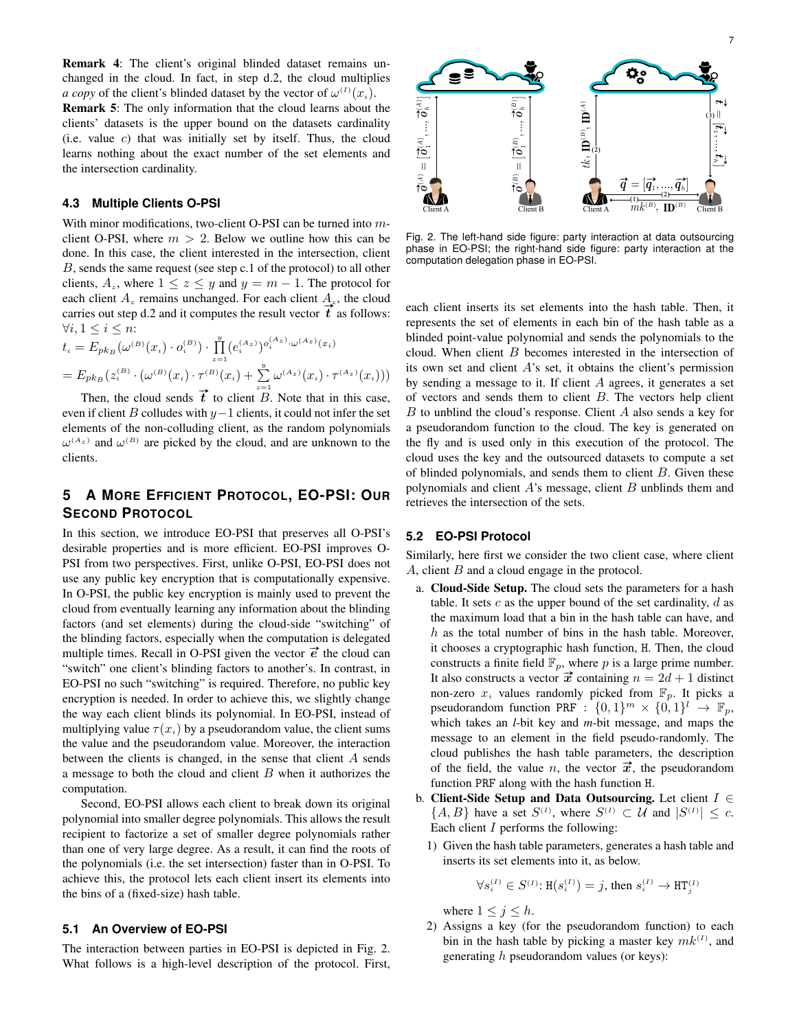Remark 4: The client's original blinded dataset remains unchanged in the cloud. In fact, in step d.2, the cloud multiplies *a copy* of the client's blinded dataset by the vector of  $\omega^{(I)}(x_i)$ . Remark 5: The only information that the cloud learns about the clients' datasets is the upper bound on the datasets cardinality (i.e. value  $c$ ) that was initially set by itself. Thus, the cloud learns nothing about the exact number of the set elements and

#### **4.3 Multiple Clients O-PSI**

the intersection cardinality.

With minor modifications, two-client O-PSI can be turned into mclient O-PSI, where  $m > 2$ . Below we outline how this can be done. In this case, the client interested in the intersection, client B, sends the same request (see step c.1 of the protocol) to all other clients,  $A_z$ , where  $1 \le z \le y$  and  $y = m - 1$ . The protocol for each client  $A_z$  remains unchanged. For each client  $A_z$ , the cloud carries out step d.2 and it computes the result vector  $\vec{t}$  as follows:  $\forall i, 1 \leq i \leq n$ :

$$
t_i = E_{pk_B}(\omega^{(B)}(x_i) \cdot o_i^{(B)}) \cdot \prod_{z=1}^y (e_i^{(A_z)})^{o_i^{(A_z)} \cdot \omega^{(A_z)}(x_i)}
$$
  
= 
$$
E_{pk_B}(z_i^{(B)} \cdot (\omega^{(B)}(x_i) \cdot \tau^{(B)}(x_i) + \sum_{z=1}^y \omega^{(A_z)}(x_i) \cdot \tau^{(A_z)}(x_i)))
$$

Then, the cloud sends  $\vec{t}$  to client B. Note that in this case, even if client B colludes with  $y-1$  clients, it could not infer the set elements of the non-colluding client, as the random polynomials  $\omega^{(A_z)}$  and  $\omega^{(B)}$  are picked by the cloud, and are unknown to the clients.

# **5 A MORE EFFICIENT PROTOCOL, EO-PSI: OUR SECOND PROTOCOL**

In this section, we introduce EO-PSI that preserves all O-PSI's desirable properties and is more efficient. EO-PSI improves O-PSI from two perspectives. First, unlike O-PSI, EO-PSI does not use any public key encryption that is computationally expensive. In O-PSI, the public key encryption is mainly used to prevent the cloud from eventually learning any information about the blinding factors (and set elements) during the cloud-side "switching" of the blinding factors, especially when the computation is delegated multiple times. Recall in O-PSI given the vector  $\vec{e}$  the cloud can "switch" one client's blinding factors to another's. In contrast, in EO-PSI no such "switching" is required. Therefore, no public key encryption is needed. In order to achieve this, we slightly change the way each client blinds its polynomial. In EO-PSI, instead of multiplying value  $\tau(x_i)$  by a pseudorandom value, the client sums the value and the pseudorandom value. Moreover, the interaction between the clients is changed, in the sense that client A sends a message to both the cloud and client  $B$  when it authorizes the computation.

Second, EO-PSI allows each client to break down its original polynomial into smaller degree polynomials. This allows the result recipient to factorize a set of smaller degree polynomials rather than one of very large degree. As a result, it can find the roots of the polynomials (i.e. the set intersection) faster than in O-PSI. To achieve this, the protocol lets each client insert its elements into the bins of a (fixed-size) hash table.

# **5.1 An Overview of EO-PSI**

The interaction between parties in EO-PSI is depicted in Fig. 2. What follows is a high-level description of the protocol. First,



Fig. 2. The left-hand side figure: party interaction at data outsourcing phase in EO-PSI; the right-hand side figure: party interaction at the computation delegation phase in EO-PSI.

each client inserts its set elements into the hash table. Then, it represents the set of elements in each bin of the hash table as a blinded point-value polynomial and sends the polynomials to the cloud. When client  $B$  becomes interested in the intersection of its own set and client A's set, it obtains the client's permission by sending a message to it. If client  $A$  agrees, it generates a set of vectors and sends them to client  $B$ . The vectors help client  $B$  to unblind the cloud's response. Client  $A$  also sends a key for a pseudorandom function to the cloud. The key is generated on the fly and is used only in this execution of the protocol. The cloud uses the key and the outsourced datasets to compute a set of blinded polynomials, and sends them to client  $B$ . Given these polynomials and client  $A$ 's message, client  $B$  unblinds them and retrieves the intersection of the sets.

# **5.2 EO-PSI Protocol**

Similarly, here first we consider the two client case, where client  $A$ , client  $B$  and a cloud engage in the protocol.

- a. Cloud-Side Setup. The cloud sets the parameters for a hash table. It sets  $c$  as the upper bound of the set cardinality,  $d$  as the maximum load that a bin in the hash table can have, and  $h$  as the total number of bins in the hash table. Moreover, it chooses a cryptographic hash function, H. Then, the cloud constructs a finite field  $\mathbb{F}_p$ , where p is a large prime number. It also constructs a vector  $\vec{x}$  containing  $n = 2d + 1$  distinct non-zero  $x_i$  values randomly picked from  $\mathbb{F}_p$ . It picks a pseudorandom function PRF :  $\{0,1\}^m \times \{0,1\}^l \rightarrow \mathbb{F}_p$ , which takes an *l*-bit key and *m*-bit message, and maps the message to an element in the field pseudo-randomly. The cloud publishes the hash table parameters, the description of the field, the value n, the vector  $\vec{x}$ , the pseudorandom function PRF along with the hash function H.
- b. Client-Side Setup and Data Outsourcing. Let client  $I \in$  $\{A, B\}$  have a set  $S^{(I)}$ , where  $S^{(I)} \subset U$  and  $|S^{(I)}| \leq c$ . Each client  $I$  performs the following:
	- 1) Given the hash table parameters, generates a hash table and inserts its set elements into it, as below.

$$
\forall s_i^{(I)} \in S^{(I)} : \mathbf{H}(s_i^{(I)}) = j, \text{ then } s_i^{(I)} \to \mathbf{HT}_j^{(I)}
$$

where  $1 \leq j \leq h$ .

2) Assigns a key (for the pseudorandom function) to each bin in the hash table by picking a master key  $mk^{(1)}$ , and generating  $h$  pseudorandom values (or keys):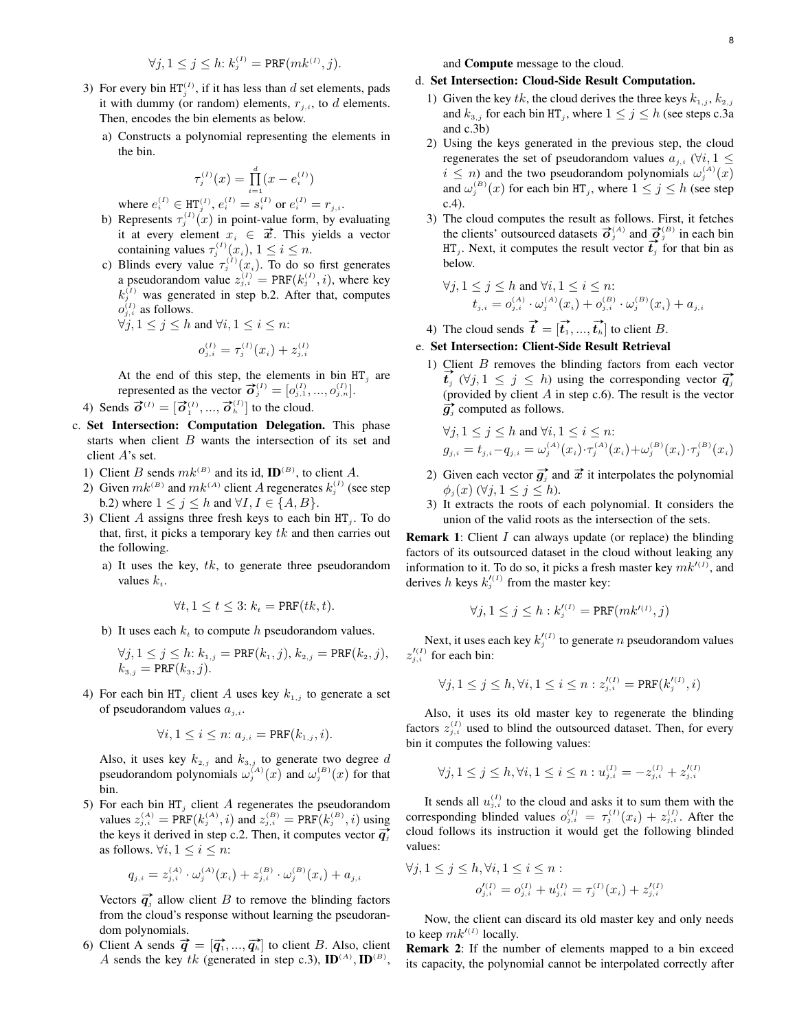$$
\forall j, 1 \leq j \leq h \colon k_j^{(I)} = \text{PRF}(mk^{(I)}, j).
$$

- 3) For every bin  $HT_j^{(I)}$ , if it has less than d set elements, pads it with dummy (or random) elements,  $r_{i,i}$ , to d elements. Then, encodes the bin elements as below.
	- a) Constructs a polynomial representing the elements in the bin.

$$
\tau_j^{(I)}(x) = \prod_{i=1}^d (x - e_i^{(I)})
$$

where  $e_i^{(I)} \in \text{HT}_j^{(I)}$ ,  $e_i^{(I)} = s_i^{(I)}$  or  $e_i^{(I)} = r_{j,i}$ .

- b) Represents  $\tau_j^{(I)}(x)$  in point-value form, by evaluating it at every element  $x_i \in \vec{x}$ . This yields a vector containing values  $\tau_j^{(I)}(x_i)$ ,  $1 \le i \le n$ .
- c) Blinds every value  $\tau_j^{(I)}(x_i)$ . To do so first generates a pseudorandom value  $z_{j,i}^{(I)} = \text{PRF}(k_j^{(I)}, i)$ , where key  $k_j^{(I)}$  was generated in step b.2. After that, computes  $o_{j,i}^{(I)}$  as follows.

$$
\forall j, 1 \leq j \leq h \text{ and } \forall i, 1 \leq i \leq n:
$$

$$
o_{j,i}^{(I)} = \tau_j^{(I)}(x_i) + z_{j,i}^{(I)}
$$

At the end of this step, the elements in bin  $HT_i$  are represented as the vector  $\vec{\sigma}_j^{(I)} = [o_{j,1}^{(I)},..., o_{j,n}^{(I)}].$ 

4) Sends  $\vec{\sigma}^{(1)} = [\vec{\sigma}_1^{(1)}, ..., \vec{\sigma}_h^{(I)}]$  to the cloud.

- c. Set Intersection: Computation Delegation. This phase starts when client B wants the intersection of its set and client A's set.
	- 1) Client B sends  $mk^{(B)}$  and its id, **, to client A.**
	- 2) Given  $mk^{(B)}$  and  $mk^{(A)}$  client A regenerates  $k_j^{(I)}$  (see step b.2) where  $1 \leq j \leq h$  and  $\forall I, I \in \{A, B\}$ .
	- 3) Client A assigns three fresh keys to each bin  $HT_j$ . To do that, first, it picks a temporary key  $tk$  and then carries out the following.
		- a) It uses the key,  $tk$ , to generate three pseudorandom values  $k_t$ .

$$
\forall t, 1 \le t \le 3 \colon k_t = \text{PRF}(tk, t).
$$

b) It uses each  $k_t$  to compute h pseudorandom values.

$$
\forall j, 1 \leq j \leq h: k_{1,j} = \text{PRF}(k_1, j), k_{2,j} = \text{PRF}(k_2, j),
$$
  

$$
k_{3,j} = \text{PRF}(k_3, j).
$$

4) For each bin HT<sub>i</sub> client A uses key  $k_{1,j}$  to generate a set of pseudorandom values  $a_{i,i}$ .

$$
\forall i, 1 \leq i \leq n: a_{j,i} = \text{PRF}(k_{1,j}, i).
$$

Also, it uses key  $k_{2,j}$  and  $k_{3,j}$  to generate two degree d pseudorandom polynomials  $\omega_j^{(A)}(x)$  and  $\omega_j^{(B)}(x)$  for that bin.

5) For each bin  $HT_i$  client A regenerates the pseudorandom values  $z_{j,i}^{(A)} = PRF(k_j^{(A)}, i)$  and  $z_{j,i}^{(B)} = PRF(k_j^{(B)}, i)$  using the keys it derived in step c.2. Then, it computes vector  $\vec{q}_i$ as follows.  $\forall i, 1 \leq i \leq n$ :

$$
q_{\scriptscriptstyle{j,i}} = z^{({\scriptscriptstyle{A}})}_{\scriptscriptstyle{j,i}} \cdot \omega^{({\scriptscriptstyle{A}})}_j(x_i) + z^{({\scriptscriptstyle{B}})}_{\scriptscriptstyle{j,i}} \cdot \omega^{({\scriptscriptstyle{B}})}_j(x_i) + a_{\scriptscriptstyle{j,i}}
$$

Vectors  $\overrightarrow{q}_i$  allow client B to remove the blinding factors from the cloud's response without learning the pseudorandom polynomials.

6) Client A sends  $\vec{q} = [\vec{q}_1, ..., \vec{q}_h]$  to client B. Also, client A sends the key tk (generated in step c.3),  $\mathbf{ID}^{(A)}$ ,  $\mathbf{ID}^{(B)}$ ,

and Compute message to the cloud.

#### d. Set Intersection: Cloud-Side Result Computation.

- 1) Given the key tk, the cloud derives the three keys  $k_{1,i}$ ,  $k_{2,i}$ and  $k_{3,j}$  for each bin HT<sub>j</sub>, where  $1 \le j \le h$  (see steps c.3a) and c.3b)
- 2) Using the keys generated in the previous step, the cloud regenerates the set of pseudorandom values  $a_{i,i}$  ( $\forall i, 1 \leq$  $i \leq n$ ) and the two pseudorandom polynomials  $\omega_j^{(A)}(x)$ and  $\omega_j^{(B)}(x)$  for each bin HT<sub>j</sub>, where  $1 \le j \le h$  (see step c.4).
- 3) The cloud computes the result as follows. First, it fetches the clients' outsourced datasets  $\vec{\sigma}_{j}^{(A)}$  and  $\vec{\sigma}_{j}^{(B)}$  in each bin the chents' outsourced datasets  $\sigma_j$  ' and  $\sigma_j$  ' in each bin<br>HT<sub>j</sub>. Next, it computes the result vector  $\vec{t}_j$  for that bin as below.

$$
\forall j, 1 \leq j \leq h \text{ and } \forall i, 1 \leq i \leq n: \\
 t_{j,i} = o_{j,i}^{(A)} \cdot \omega_j^{(A)}(x_i) + o_{j,i}^{(B)} \cdot \omega_j^{(B)}(x_i) + a_{j,i}
$$

4) The cloud sends  $\vec{t} = [\vec{t}_1, ..., \vec{t}_h]$  to client B.

# e. Set Intersection: Client-Side Result Retrieval

1) Client  $B$  removes the blinding factors from each vector  $t_i^{\prime}$  ( $\forall j, 1 \leq j \leq h$ ) using the corresponding vector  $\vec{q}_i$ (provided by client  $A$  in step c.6). The result is the vector  $\vec{g}_i$  computed as follows.

$$
\forall j, 1 \leq j \leq h \text{ and } \forall i, 1 \leq i \leq n: \\
 g_{j,i} = t_{j,i} - q_{j,i} = \omega_j^{(A)}(x_i) \cdot \tau_j^{(A)}(x_i) + \omega_j^{(B)}(x_i) \cdot \tau_j^{(B)}(x_i)
$$

- 2) Given each vector  $\overrightarrow{g}_i$  and  $\overrightarrow{x}$  it interpolates the polynomial  $\phi_i(x)$  ( $\forall j, 1 \leq j \leq h$ ).
- 3) It extracts the roots of each polynomial. It considers the union of the valid roots as the intersection of the sets.

**Remark 1:** Client  $I$  can always update (or replace) the blinding factors of its outsourced dataset in the cloud without leaking any information to it. To do so, it picks a fresh master key  $mk^{(1)}$ , and derives h keys  $k_j^{(1)}$  from the master key:

$$
\forall j, 1 \leq j \leq h: k'^{(1)}_j = \text{PRF}(mk'^{(1)}, j)
$$

Next, it uses each key  $k_j^{(I)}$  to generate n pseudorandom values  $z_{j,i}^{\prime\,(I)}$  for each bin:

$$
\forall j, 1 \leq j \leq h, \forall i, 1 \leq i \leq n : z_{j,i}^{\prime(1)} = \text{PRF}(k_j^{\prime(1)}, i)
$$

Also, it uses its old master key to regenerate the blinding factors  $z_{j,i}^{(I)}$  used to blind the outsourced dataset. Then, for every bin it computes the following values:

$$
\forall j, 1 \leq j \leq h, \forall i, 1 \leq i \leq n : u_{j,i}^{(I)} = -z_{j,i}^{(I)} + z_{j,i}'^{(I)}
$$

It sends all  $u_{j,i}^{(I)}$  to the cloud and asks it to sum them with the corresponding blinded values  $o_{j,i}^{(I)} = \tau_j^{(I)}(x_i) + z_{j,i}^{(I)}$ . After the cloud follows its instruction it would get the following blinded values:

$$
\forall j, 1 \leq j \leq h, \forall i, 1 \leq i \leq n : \\
 o'_{j,i}^{(I)} = o_{j,i}^{(I)} + u_{j,i}^{(I)} = \tau_j^{(I)}(x_i) + z'_{j,i}^{(I)}
$$

Now, the client can discard its old master key and only needs to keep  $mk^{(I)}$  locally.

Remark 2: If the number of elements mapped to a bin exceed its capacity, the polynomial cannot be interpolated correctly after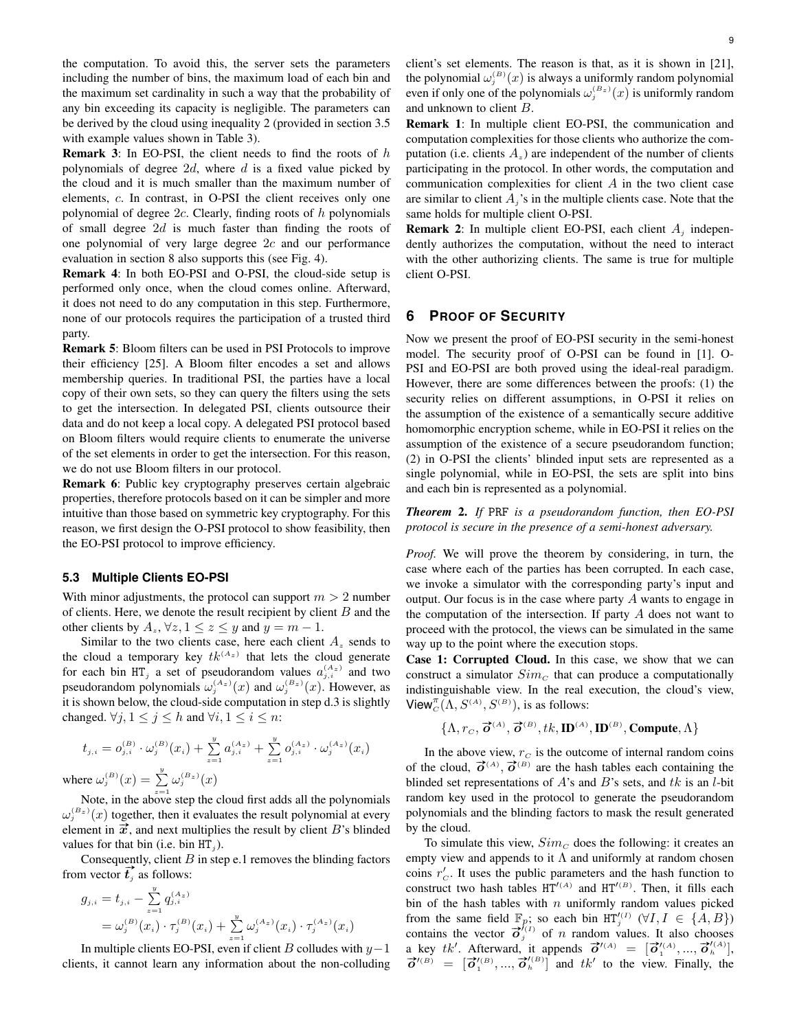the computation. To avoid this, the server sets the parameters including the number of bins, the maximum load of each bin and the maximum set cardinality in such a way that the probability of any bin exceeding its capacity is negligible. The parameters can be derived by the cloud using inequality 2 (provided in section 3.5 with example values shown in Table 3).

**Remark 3:** In EO-PSI, the client needs to find the roots of  $h$ polynomials of degree  $2d$ , where d is a fixed value picked by the cloud and it is much smaller than the maximum number of elements, c. In contrast, in O-PSI the client receives only one polynomial of degree  $2c$ . Clearly, finding roots of  $h$  polynomials of small degree  $2d$  is much faster than finding the roots of one polynomial of very large degree 2c and our performance evaluation in section 8 also supports this (see Fig. 4).

Remark 4: In both EO-PSI and O-PSI, the cloud-side setup is performed only once, when the cloud comes online. Afterward, it does not need to do any computation in this step. Furthermore, none of our protocols requires the participation of a trusted third party.

Remark 5: Bloom filters can be used in PSI Protocols to improve their efficiency [25]. A Bloom filter encodes a set and allows membership queries. In traditional PSI, the parties have a local copy of their own sets, so they can query the filters using the sets to get the intersection. In delegated PSI, clients outsource their data and do not keep a local copy. A delegated PSI protocol based on Bloom filters would require clients to enumerate the universe of the set elements in order to get the intersection. For this reason, we do not use Bloom filters in our protocol.

Remark 6: Public key cryptography preserves certain algebraic properties, therefore protocols based on it can be simpler and more intuitive than those based on symmetric key cryptography. For this reason, we first design the O-PSI protocol to show feasibility, then the EO-PSI protocol to improve efficiency.

#### **5.3 Multiple Clients EO-PSI**

With minor adjustments, the protocol can support  $m > 2$  number of clients. Here, we denote the result recipient by client  $B$  and the other clients by  $A_z$ ,  $\forall z$ ,  $1 \leq z \leq y$  and  $y = m - 1$ .

Similar to the two clients case, here each client  $A<sub>z</sub>$  sends to the cloud a temporary key  $tk^{(A_z)}$  that lets the cloud generate for each bin HT<sub>j</sub> a set of pseudorandom values  $a_{j,i}^{(A_z)}$  and two pseudorandom polynomials  $\omega_j^{(A_z)}(x)$  and  $\omega_j^{(B_z)}(x)$ . However, as it is shown below, the cloud-side computation in step d.3 is slightly changed.  $\forall j, 1 \leq j \leq h$  and  $\forall i, 1 \leq i \leq n$ :

$$
t_{j,i} = o_{j,i}^{(B)} \cdot \omega_j^{(B)}(x_i) + \sum_{z=1}^y a_{j,i}^{(A_z)} + \sum_{z=1}^y o_{j,i}^{(A_z)} \cdot \omega_j^{(A_z)}(x_i)
$$
  
where  $\omega_j^{(B)}(x) = \sum_{z=1}^y \omega_j^{(B_z)}(x)$ 

Note, in the above step the cloud first adds all the polynomials  $\omega_j^{(B_z)}(x)$  together, then it evaluates the result polynomial at every element in  $\vec{x}$ , and next multiplies the result by client B's blinded values for that bin (i.e. bin  $HT_i$ ).

Consequently, client  $B$  in step e.1 removes the blinding factors from vector  $\vec{t}_i$  as follows:

$$
g_{j,i} = t_{j,i} - \sum_{z=1}^{y} q_{j,i}^{(A_z)}
$$
  
=  $\omega_j^{(B)}(x_i) \cdot \tau_j^{(B)}(x_i) + \sum_{z=1}^{y} \omega_j^{(A_z)}(x_i) \cdot \tau_j^{(A_z)}(x_i)$ 

In multiple clients EO-PSI, even if client B colludes with  $y-1$ clients, it cannot learn any information about the non-colluding client's set elements. The reason is that, as it is shown in [21], the polynomial  $\omega_j^{(B)}(x)$  is always a uniformly random polynomial even if only one of the polynomials  $\omega_j^{(B_z)}(x)$  is uniformly random and unknown to client B.

Remark 1: In multiple client EO-PSI, the communication and computation complexities for those clients who authorize the computation (i.e. clients  $A<sub>z</sub>$ ) are independent of the number of clients participating in the protocol. In other words, the computation and communication complexities for client  $A$  in the two client case are similar to client  $A_i$ 's in the multiple clients case. Note that the same holds for multiple client O-PSI.

**Remark 2:** In multiple client EO-PSI, each client  $A_j$  independently authorizes the computation, without the need to interact with the other authorizing clients. The same is true for multiple client O-PSI.

# **6 PROOF OF SECURITY**

Now we present the proof of EO-PSI security in the semi-honest model. The security proof of O-PSI can be found in [1]. O-PSI and EO-PSI are both proved using the ideal-real paradigm. However, there are some differences between the proofs: (1) the security relies on different assumptions, in O-PSI it relies on the assumption of the existence of a semantically secure additive homomorphic encryption scheme, while in EO-PSI it relies on the assumption of the existence of a secure pseudorandom function; (2) in O-PSI the clients' blinded input sets are represented as a single polynomial, while in EO-PSI, the sets are split into bins and each bin is represented as a polynomial.

*Theorem* 2. *If* PRF *is a pseudorandom function, then EO-PSI protocol is secure in the presence of a semi-honest adversary.*

*Proof.* We will prove the theorem by considering, in turn, the case where each of the parties has been corrupted. In each case, we invoke a simulator with the corresponding party's input and output. Our focus is in the case where party  $A$  wants to engage in the computation of the intersection. If party  $A$  does not want to proceed with the protocol, the views can be simulated in the same way up to the point where the execution stops.

Case 1: Corrupted Cloud. In this case, we show that we can construct a simulator  $Sim<sub>C</sub>$  that can produce a computationally indistinguishable view. In the real execution, the cloud's view, View<sup> $\pi_{C}(\Lambda, S^{(A)}, S^{(B)})$ , is as follows:</sup>

$$
\{\Lambda, r_{\scriptscriptstyle C}, \overrightarrow{\boldsymbol \sigma}^{\scriptscriptstyle (A)}, \overrightarrow{\boldsymbol \sigma}^{\scriptscriptstyle (B)}, t\boldsymbol k, \mathbf{ID}^{\scriptscriptstyle (A)}, \mathbf{ID}^{\scriptscriptstyle (B)}, \mathbf{Compute}, \Lambda\}
$$

In the above view,  $r_C$  is the outcome of internal random coins of the cloud,  $\vec{\sigma}^{(A)}$ ,  $\vec{\sigma}^{(B)}$  are the hash tables each containing the blinded set representations of A's and B's sets, and tk is an l-bit random key used in the protocol to generate the pseudorandom polynomials and the blinding factors to mask the result generated by the cloud.

To simulate this view,  $Sim<sub>C</sub>$  does the following: it creates an empty view and appends to it  $\Lambda$  and uniformly at random chosen coins  $r'_C$ . It uses the public parameters and the hash function to construct two hash tables  $HT^{I(A)}$  and  $HT^{I(B)}$ . Then, it fills each bin of the hash tables with  $n$  uniformly random values picked from the same field  $\mathbb{F}_p$ ; so each bin  $\text{HT}'^{(1)}_j$  ( $\forall I, I \in \{A, B\}$ ) contains the vector  $\overrightarrow{O}'^{(1)}_j$  of *n* random values. It also chooses a key tk'. Afterward, it appends  $\vec{\sigma}^{\prime(\Lambda)} = [\vec{\sigma}^{\prime(\Lambda)}_1, ..., \vec{\sigma}^{\prime(\Lambda)}_h]$ ,  $\vec{\sigma}^{(B)} = [\vec{\sigma}_1^{(B)}, ..., \vec{\sigma}_h^{(B)}]$  and tk' to the view. Finally, the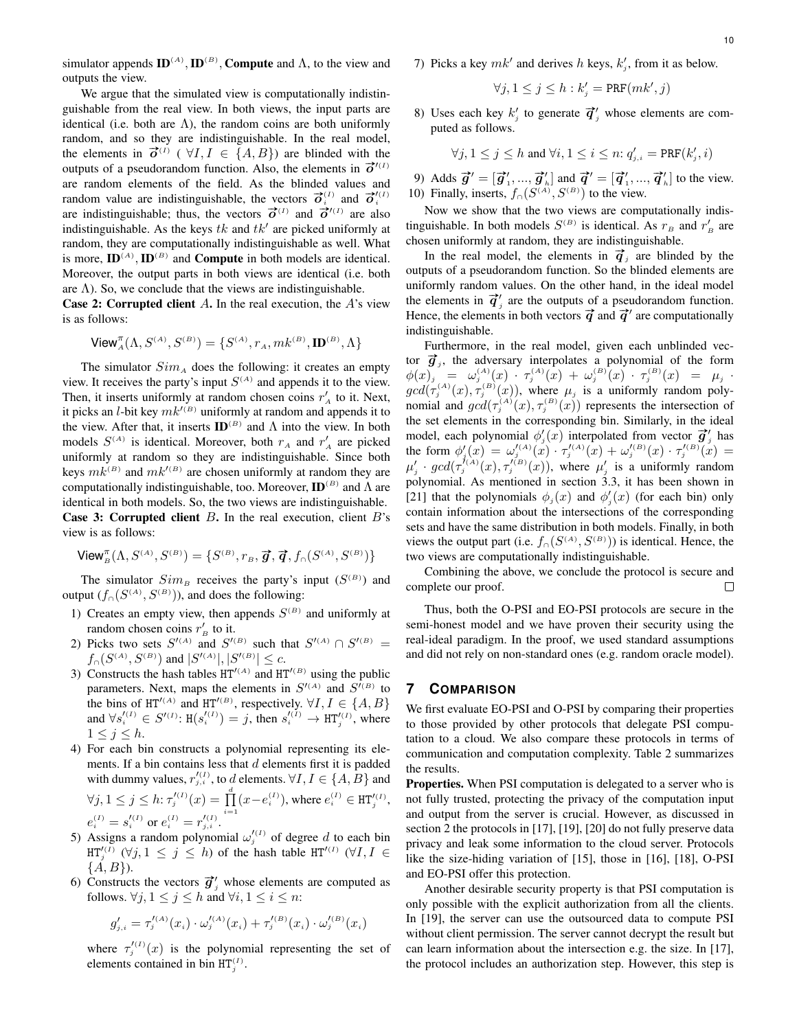simulator appends  $\mathbf{ID}^{(A)}$ ,  $\mathbf{ID}^{(B)}$ , Compute and  $\Lambda$ , to the view and outputs the view.

We argue that the simulated view is computationally indistinguishable from the real view. In both views, the input parts are identical (i.e. both are  $\Lambda$ ), the random coins are both uniformly random, and so they are indistinguishable. In the real model, the elements in  $\vec{\sigma}^{(I)}$  ( $\forall I, I \in \{A, B\}$ ) are blinded with the outputs of a pseudorandom function. Also, the elements in  $\vec{\sigma}^{\prime(\textit{I})}$ are random elements of the field. As the blinded values and random value are indistinguishable, the vectors  $\vec{\sigma}_i^{(I)}$  and  $\vec{\sigma}_i^{(I)}$ random vante are indistinguishable; the vectors  $\vec{\sigma}^{(I)}$  and  $\vec{\sigma}^{\prime(I)}$  are also indistinguishable. As the keys  $tk$  and  $tk'$  are picked uniformly at random, they are computationally indistinguishable as well. What is more,  $\mathbf{ID}^{(A)}$ ,  $\mathbf{ID}^{(B)}$  and **Compute** in both models are identical. Moreover, the output parts in both views are identical (i.e. both are  $\Lambda$ ). So, we conclude that the views are indistinguishable.

**Case 2: Corrupted client** A. In the real execution, the  $A$ 's view is as follows:

$$
\mathsf{View}_{\scriptscriptstyle{A}}^{\pi}(\Lambda,S^{(\scriptscriptstyle{A})},S^{(\scriptscriptstyle{B})})=\{S^{(\scriptscriptstyle{A})},r_{\scriptscriptstyle{A}},mk^{(\scriptscriptstyle{B})},\mathbf{ID}^{(\scriptscriptstyle{B})},\Lambda\}
$$

The simulator  $Sim_A$  does the following: it creates an empty view. It receives the party's input  $S^{(A)}$  and appends it to the view. Then, it inserts uniformly at random chosen coins  $r'_{A}$  to it. Next, it picks an *l*-bit key  $mk^{(B)}$  uniformly at random and appends it to the view. After that, it inserts  $\mathbf{ID}^{(B)}$  and  $\Lambda$  into the view. In both models  $S^{(A)}$  is identical. Moreover, both  $r_A$  and  $r'_A$  are picked uniformly at random so they are indistinguishable. Since both keys  $mk^{(B)}$  and  $mk^{(B)}$  are chosen uniformly at random they are computationally indistinguishable, too. Moreover,  $\mathbf{ID}^{(B)}$  and  $\Lambda$  are identical in both models. So, the two views are indistinguishable. **Case 3: Corrupted client**  $B$ . In the real execution, client  $B$ 's view is as follows:

$$
\mathsf{View}_{\scriptscriptstyle{B}}^{\pi}(\Lambda, S^{\scriptscriptstyle{(A)}}, S^{\scriptscriptstyle{(B)}}) = \{S^{\scriptscriptstyle{(B)}}, r_{\scriptscriptstyle{B}}, \overrightarrow{\boldsymbol{q}}, \overrightarrow{\boldsymbol{q}}, f_{\scriptscriptstyle{\cap}}(S^{\scriptscriptstyle{(A)}}, S^{\scriptscriptstyle{(B)}})\}
$$

The simulator  $Sim<sub>B</sub>$  receives the party's input  $(S<sup>(B)</sup>)$  and output  $(f_ \cap (S^{(A)}, S^{(B)}))$ , and does the following:

- 1) Creates an empty view, then appends  $S^{(B)}$  and uniformly at random chosen coins  $r'_{B}$  to it.
- 2) Picks two sets  $S^{\prime( A)}$  and  $S^{\prime( B)}$  such that  $S^{\prime( A)} \cap S^{\prime( B)} =$  $f_{\cap}(S^{(A)}, S^{(B)})$  and  $|S'^{(A)}|, |S'^{(B)}| \leq c$ .
- 3) Constructs the hash tables  $HT'^{(A)}$  and  $HT'^{(B)}$  using the public parameters. Next, maps the elements in  $S^{\prime( A)}$  and  $S^{\prime( B)}$  to the bins of  $HT'^{(A)}$  and  $HT'^{(B)}$ , respectively.  $\forall I, I \in \{A, B\}$ and  $\forall s_i'^{(1)} \in S'^{(1)}$ :  $H(s_i'^{(1)}) = j$ , then  $s_i'^{(1)} \to HT_j'^{(1)}$ , where  $1 \leq j \leq h$ .
- 4) For each bin constructs a polynomial representing its elements. If a bin contains less that  $d$  elements first it is padded with dummy values,  $r'_{j,i}^{(I)}$ , to d elements.  $\forall I, I \in \{A, B\}$  and  $\forall j, 1 \leq j \leq h; \tau'^{(1)}_j(x) = \prod_{i=1}^d (x - e_i^{(I)}), \text{ where } e_i^{(I)} \in \text{HT}'^{(I)}_j,$  $e_i^{(I)} = s_i^{\prime (I)}$  or  $e_i^{(I)} = r_{j,i}^{\prime (I)}$ .
- 5) Assigns a random polynomial  $\omega_j^{\prime (I)}$  of degree d to each bin  $\mathbf{HT}'^{(I)}_j$  ( $\forall j, 1 \leq j \leq h$ ) of the hash table  $\mathbf{HT}'^{(I)}$  ( $\forall I, I \in$  ${A, B}$ .
- $\overrightarrow{A}$ ,  $\overrightarrow{B}$ .  $\overrightarrow{B}$ .<br>6) Constructs the vectors  $\overrightarrow{g}'_j$  whose elements are computed as follows.  $\forall j, 1 \leq j \leq h$  and  $\forall i, 1 \leq i \leq n$ :

$$
g'_{j,i} = \tau'^{(A)}_j(x_i) \cdot \omega'^{(A)}_j(x_i) + \tau'^{(B)}_j(x_i) \cdot \omega'^{(B)}_j(x_i)
$$

where  $\tau_j^{\prime(i)}(x)$  is the polynomial representing the set of elements contained in bin  $HT_j^{(I)}$ .

7) Picks a key  $mk'$  and derives h keys,  $k'_{j}$ , from it as below.

$$
\forall j, 1 \leq j \leq h: k'_j = \text{PRF}(mk', j)
$$

8) Uses each key  $k'_j$  to generate  $\vec{q}'_j$  whose elements are computed as follows.

$$
\forall j, 1 \leq j \leq h \text{ and } \forall i, 1 \leq i \leq n \colon q'_{j,i} = \text{PRF}(k'_j, i)
$$

9) Adds  $\vec{g}' = [\vec{g}'_1, ..., \vec{g}'_h]$  and  $\vec{q}' = [\vec{q}'_1, ..., \vec{q}'_h]$  to the view. 10) Finally, inserts,  $f_{\cap}(S^{(A)}, S^{(B)})$  to the view.

Now we show that the two views are computationally indistinguishable. In both models  $S^{(B)}$  is identical. As  $r_B$  and  $r'_B$  are chosen uniformly at random, they are indistinguishable.

In the real model, the elements in  $\vec{q}_i$  are blinded by the outputs of a pseudorandom function. So the blinded elements are uniformly random values. On the other hand, in the ideal model the elements in  $\vec{q}'_j$  are the outputs of a pseudorandom function. Hence, the elements in both vectors  $\vec{q}$  and  $\vec{q}'$  are computationally indistinguishable.

Furthermore, in the real model, given each unblinded vec-Furthermore, in the real model, given each unbinded vector  $\vec{g}_j$ , the adversary interpolates a polynomial of the form  $\phi(x)_j \;\; = \;\; \omega^{(A)}_j(x) \,\cdot \, \tau^{(A)}_j(x) \; + \; \omega^{(B)}_j(x) \,\cdot \, \tau^{(B)}_j(x) \;\; = \;\; \mu_j \,\, \cdot \;\;$  $gcd(\tau_j^{(A)}(x), \tau_j^{(B)}(x))$ , where  $\mu_j$  is a uniformly random polynomial and  $gcd(\tau_j^{(A)}(x), \tau_j^{(B)}(x))$  represents the intersection of the set elements in the corresponding bin. Similarly, in the ideal model, each polynomial  $\phi'_j(x)$  interpolated from vector  $\vec{g}'_j$  has the form  $\phi'_j(x) = \omega'^{(A)}_j(x) \cdot \tau'^{(A)}_j(x) + \omega'^{(B)}_j(x) \cdot \tau'^{(B)}_j(x) =$  $\mu'_{j}$  ·  $gcd(\tau_{j}^{f(A)}(x), \tau_{j}^{\prime(B)}(x))$ , where  $\mu'_{j}$  is a uniformly random polynomial. As mentioned in section 3.3, it has been shown in [21] that the polynomials  $\phi_j(x)$  and  $\phi'_j(x)$  (for each bin) only contain information about the intersections of the corresponding sets and have the same distribution in both models. Finally, in both views the output part (i.e.  $f_ \cap (S^{(A)}, S^{(B)})$ ) is identical. Hence, the two views are computationally indistinguishable.

Combining the above, we conclude the protocol is secure and complete our proof.  $\Box$ 

Thus, both the O-PSI and EO-PSI protocols are secure in the semi-honest model and we have proven their security using the real-ideal paradigm. In the proof, we used standard assumptions and did not rely on non-standard ones (e.g. random oracle model).

#### **7 COMPARISON**

We first evaluate EO-PSI and O-PSI by comparing their properties to those provided by other protocols that delegate PSI computation to a cloud. We also compare these protocols in terms of communication and computation complexity. Table 2 summarizes the results.

Properties. When PSI computation is delegated to a server who is not fully trusted, protecting the privacy of the computation input and output from the server is crucial. However, as discussed in section 2 the protocols in [17], [19], [20] do not fully preserve data privacy and leak some information to the cloud server. Protocols like the size-hiding variation of [15], those in [16], [18], O-PSI and EO-PSI offer this protection.

Another desirable security property is that PSI computation is only possible with the explicit authorization from all the clients. In [19], the server can use the outsourced data to compute PSI without client permission. The server cannot decrypt the result but can learn information about the intersection e.g. the size. In [17], the protocol includes an authorization step. However, this step is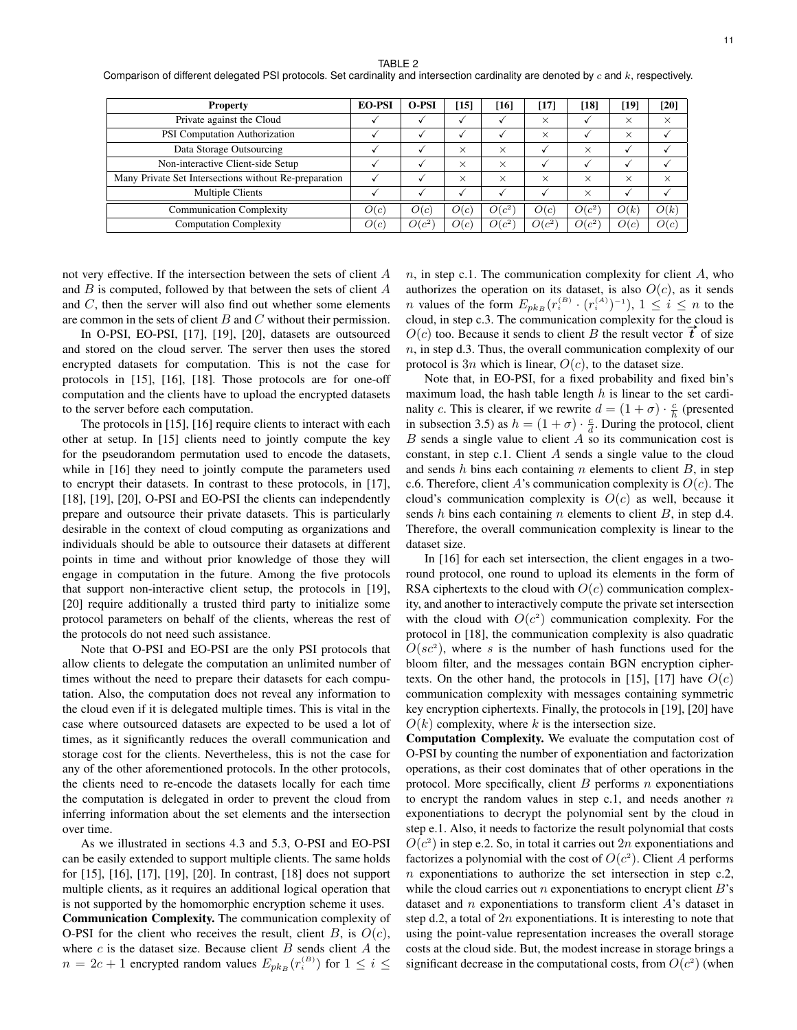TABLE<sub>2</sub>

Comparison of different delegated PSI protocols. Set cardinality and intersection cardinality are denoted by  $c$  and  $k$ , respectively.

| <b>Property</b>                                       | <b>EO-PSI</b> | <b>O-PSI</b> | $[15]$   | [16]     | [17]     | $[18]$   | [19]     | $[20]$   |
|-------------------------------------------------------|---------------|--------------|----------|----------|----------|----------|----------|----------|
| Private against the Cloud                             |               |              |          |          | $\times$ |          | $\times$ | $\times$ |
| PSI Computation Authorization                         |               |              |          |          | $\times$ |          | $\times$ |          |
| Data Storage Outsourcing                              |               |              | $\times$ | $\times$ |          | $\times$ |          |          |
| Non-interactive Client-side Setup                     |               |              | $\times$ | $\times$ |          |          |          |          |
| Many Private Set Intersections without Re-preparation |               |              | $\times$ | $\times$ | X        | $\times$ | $\times$ | $\times$ |
| <b>Multiple Clients</b>                               |               |              |          |          |          | $\times$ |          |          |
| <b>Communication Complexity</b>                       | O(c)          | O(c)         | O(c)     | $O(c^2)$ | O(c)     | $O(c^2)$ | O(k)     | O(k)     |
| <b>Computation Complexity</b>                         | O(c)          | $O(c^2)$     | O(c)     | $O(c^2)$ | $O(c^2)$ | $O(c^2)$ | O(c)     | O(c)     |

not very effective. If the intersection between the sets of client A and  $B$  is computed, followed by that between the sets of client  $A$ and C, then the server will also find out whether some elements are common in the sets of client  $B$  and  $C$  without their permission.

In O-PSI, EO-PSI, [17], [19], [20], datasets are outsourced and stored on the cloud server. The server then uses the stored encrypted datasets for computation. This is not the case for protocols in [15], [16], [18]. Those protocols are for one-off computation and the clients have to upload the encrypted datasets to the server before each computation.

The protocols in [15], [16] require clients to interact with each other at setup. In [15] clients need to jointly compute the key for the pseudorandom permutation used to encode the datasets, while in [16] they need to jointly compute the parameters used to encrypt their datasets. In contrast to these protocols, in [17], [18], [19], [20], O-PSI and EO-PSI the clients can independently prepare and outsource their private datasets. This is particularly desirable in the context of cloud computing as organizations and individuals should be able to outsource their datasets at different points in time and without prior knowledge of those they will engage in computation in the future. Among the five protocols that support non-interactive client setup, the protocols in [19], [20] require additionally a trusted third party to initialize some protocol parameters on behalf of the clients, whereas the rest of the protocols do not need such assistance.

Note that O-PSI and EO-PSI are the only PSI protocols that allow clients to delegate the computation an unlimited number of times without the need to prepare their datasets for each computation. Also, the computation does not reveal any information to the cloud even if it is delegated multiple times. This is vital in the case where outsourced datasets are expected to be used a lot of times, as it significantly reduces the overall communication and storage cost for the clients. Nevertheless, this is not the case for any of the other aforementioned protocols. In the other protocols, the clients need to re-encode the datasets locally for each time the computation is delegated in order to prevent the cloud from inferring information about the set elements and the intersection over time.

As we illustrated in sections 4.3 and 5.3, O-PSI and EO-PSI can be easily extended to support multiple clients. The same holds for [15], [16], [17], [19], [20]. In contrast, [18] does not support multiple clients, as it requires an additional logical operation that is not supported by the homomorphic encryption scheme it uses.

Communication Complexity. The communication complexity of O-PSI for the client who receives the result, client B, is  $O(c)$ , where  $c$  is the dataset size. Because client  $B$  sends client  $A$  the  $n = 2c + 1$  encrypted random values  $E_{pk_B}(r_i^{(B)})$  for  $1 \le i \le n$ 

 $n$ , in step c.1. The communication complexity for client  $A$ , who authorizes the operation on its dataset, is also  $O(c)$ , as it sends *n* values of the form  $E_{pk_B}(r_i^{(B)} \cdot (r_i^{(A)})^{-1})$ ,  $1 \le i \le n$  to the cloud, in step c.3. The communication complexity for the cloud is  $O(c)$  too. Because it sends to client B the result vector  $\vec{t}$  of size  $n$ , in step d.3. Thus, the overall communication complexity of our protocol is  $3n$  which is linear,  $O(c)$ , to the dataset size.

Note that, in EO-PSI, for a fixed probability and fixed bin's maximum load, the hash table length  $h$  is linear to the set cardinality c. This is clearer, if we rewrite  $d = (1 + \sigma) \cdot \frac{c}{h}$  (presented in subsection 3.5) as  $h = (1 + \sigma) \cdot \frac{c}{d}$ . During the protocol, client  $B$  sends a single value to client  $A$  so its communication cost is constant, in step c.1. Client  $A$  sends a single value to the cloud and sends h bins each containing n elements to client  $B$ , in step c.6. Therefore, client A's communication complexity is  $O(c)$ . The cloud's communication complexity is  $O(c)$  as well, because it sends h bins each containing n elements to client  $B$ , in step d.4. Therefore, the overall communication complexity is linear to the dataset size.

In [16] for each set intersection, the client engages in a tworound protocol, one round to upload its elements in the form of RSA ciphertexts to the cloud with  $O(c)$  communication complexity, and another to interactively compute the private set intersection with the cloud with  $O(c^2)$  communication complexity. For the protocol in [18], the communication complexity is also quadratic  $O(sc^2)$ , where s is the number of hash functions used for the bloom filter, and the messages contain BGN encryption ciphertexts. On the other hand, the protocols in [15], [17] have  $O(c)$ communication complexity with messages containing symmetric key encryption ciphertexts. Finally, the protocols in [19], [20] have  $O(k)$  complexity, where k is the intersection size.

Computation Complexity. We evaluate the computation cost of O-PSI by counting the number of exponentiation and factorization operations, as their cost dominates that of other operations in the protocol. More specifically, client  $B$  performs  $n$  exponentiations to encrypt the random values in step c.1, and needs another  $n$ exponentiations to decrypt the polynomial sent by the cloud in step e.1. Also, it needs to factorize the result polynomial that costs  $O(c<sup>2</sup>)$  in step e.2. So, in total it carries out  $2n$  exponentiations and factorizes a polynomial with the cost of  $O(c^2)$ . Client A performs  $n$  exponentiations to authorize the set intersection in step c.2, while the cloud carries out n exponentiations to encrypt client  $B$ 's dataset and  $n$  exponentiations to transform client  $A$ 's dataset in step d.2, a total of  $2n$  exponentiations. It is interesting to note that using the point-value representation increases the overall storage costs at the cloud side. But, the modest increase in storage brings a significant decrease in the computational costs, from  $O(c^2)$  (when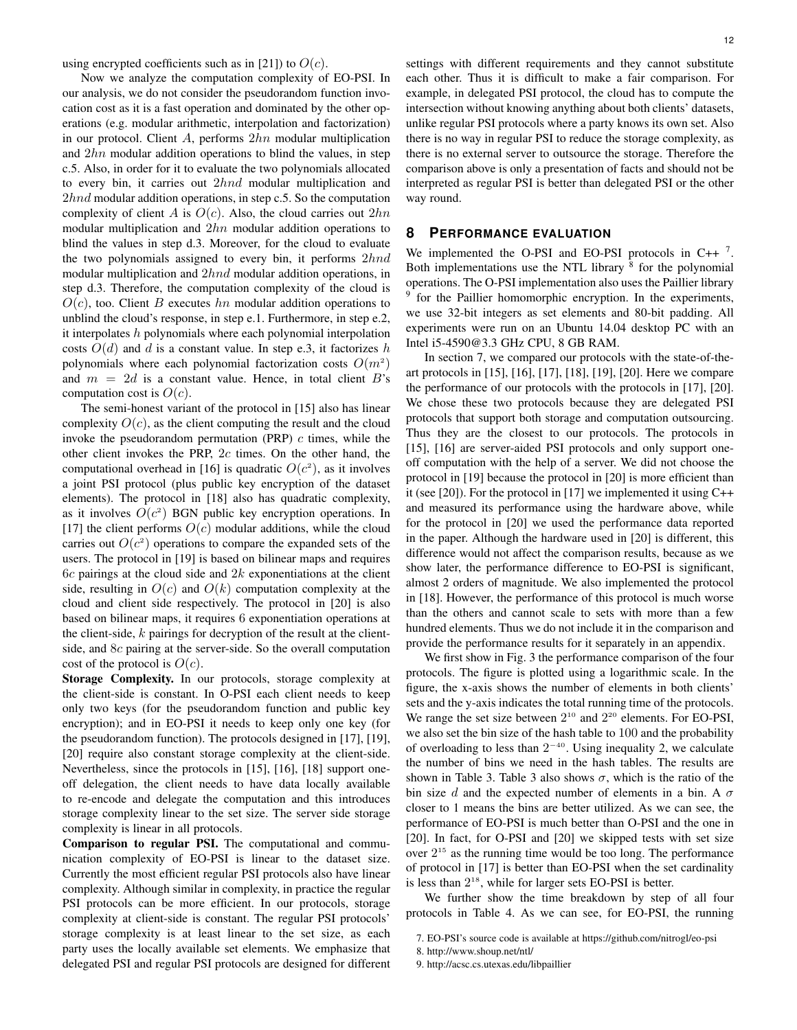using encrypted coefficients such as in [21]) to  $O(c)$ .

Now we analyze the computation complexity of EO-PSI. In our analysis, we do not consider the pseudorandom function invocation cost as it is a fast operation and dominated by the other operations (e.g. modular arithmetic, interpolation and factorization) in our protocol. Client  $A$ , performs  $2hn$  modular multiplication and  $2hn$  modular addition operations to blind the values, in step c.5. Also, in order for it to evaluate the two polynomials allocated to every bin, it carries out 2hnd modular multiplication and 2hnd modular addition operations, in step c.5. So the computation complexity of client A is  $O(c)$ . Also, the cloud carries out  $2hn$ modular multiplication and 2hn modular addition operations to blind the values in step d.3. Moreover, for the cloud to evaluate the two polynomials assigned to every bin, it performs 2hnd modular multiplication and 2hnd modular addition operations, in step d.3. Therefore, the computation complexity of the cloud is  $O(c)$ , too. Client B executes hn modular addition operations to unblind the cloud's response, in step e.1. Furthermore, in step e.2, it interpolates  $h$  polynomials where each polynomial interpolation costs  $O(d)$  and d is a constant value. In step e.3, it factorizes h polynomials where each polynomial factorization costs  $O(m^2)$ and  $m = 2d$  is a constant value. Hence, in total client B's computation cost is  $O(c)$ .

The semi-honest variant of the protocol in [15] also has linear complexity  $O(c)$ , as the client computing the result and the cloud invoke the pseudorandom permutation (PRP)  $c$  times, while the other client invokes the PRP, 2c times. On the other hand, the computational overhead in [16] is quadratic  $O(c^2)$ , as it involves a joint PSI protocol (plus public key encryption of the dataset elements). The protocol in [18] also has quadratic complexity, as it involves  $O(c^2)$  BGN public key encryption operations. In [17] the client performs  $O(c)$  modular additions, while the cloud carries out  $O(c^2)$  operations to compare the expanded sets of the users. The protocol in [19] is based on bilinear maps and requires  $6c$  pairings at the cloud side and  $2k$  exponentiations at the client side, resulting in  $O(c)$  and  $O(k)$  computation complexity at the cloud and client side respectively. The protocol in [20] is also based on bilinear maps, it requires 6 exponentiation operations at the client-side,  $k$  pairings for decryption of the result at the clientside, and 8c pairing at the server-side. So the overall computation cost of the protocol is  $O(c)$ .

Storage Complexity. In our protocols, storage complexity at the client-side is constant. In O-PSI each client needs to keep only two keys (for the pseudorandom function and public key encryption); and in EO-PSI it needs to keep only one key (for the pseudorandom function). The protocols designed in [17], [19], [20] require also constant storage complexity at the client-side. Nevertheless, since the protocols in [15], [16], [18] support oneoff delegation, the client needs to have data locally available to re-encode and delegate the computation and this introduces storage complexity linear to the set size. The server side storage complexity is linear in all protocols.

Comparison to regular PSI. The computational and communication complexity of EO-PSI is linear to the dataset size. Currently the most efficient regular PSI protocols also have linear complexity. Although similar in complexity, in practice the regular PSI protocols can be more efficient. In our protocols, storage complexity at client-side is constant. The regular PSI protocols' storage complexity is at least linear to the set size, as each party uses the locally available set elements. We emphasize that delegated PSI and regular PSI protocols are designed for different

settings with different requirements and they cannot substitute each other. Thus it is difficult to make a fair comparison. For example, in delegated PSI protocol, the cloud has to compute the intersection without knowing anything about both clients' datasets, unlike regular PSI protocols where a party knows its own set. Also there is no way in regular PSI to reduce the storage complexity, as there is no external server to outsource the storage. Therefore the comparison above is only a presentation of facts and should not be interpreted as regular PSI is better than delegated PSI or the other way round.

#### **8 PERFORMANCE EVALUATION**

We implemented the O-PSI and EO-PSI protocols in  $C++$ <sup>7</sup>. Both implementations use the NTL library <sup>8</sup> for the polynomial operations. The O-PSI implementation also uses the Paillier library 9 for the Paillier homomorphic encryption. In the experiments, we use 32-bit integers as set elements and 80-bit padding. All experiments were run on an Ubuntu 14.04 desktop PC with an Intel i5-4590@3.3 GHz CPU, 8 GB RAM.

In section 7, we compared our protocols with the state-of-theart protocols in [15], [16], [17], [18], [19], [20]. Here we compare the performance of our protocols with the protocols in [17], [20]. We chose these two protocols because they are delegated PSI protocols that support both storage and computation outsourcing. Thus they are the closest to our protocols. The protocols in [15], [16] are server-aided PSI protocols and only support oneoff computation with the help of a server. We did not choose the protocol in [19] because the protocol in [20] is more efficient than it (see [20]). For the protocol in [17] we implemented it using C++ and measured its performance using the hardware above, while for the protocol in [20] we used the performance data reported in the paper. Although the hardware used in [20] is different, this difference would not affect the comparison results, because as we show later, the performance difference to EO-PSI is significant, almost 2 orders of magnitude. We also implemented the protocol in [18]. However, the performance of this protocol is much worse than the others and cannot scale to sets with more than a few hundred elements. Thus we do not include it in the comparison and provide the performance results for it separately in an appendix.

We first show in Fig. 3 the performance comparison of the four protocols. The figure is plotted using a logarithmic scale. In the figure, the x-axis shows the number of elements in both clients' sets and the y-axis indicates the total running time of the protocols. We range the set size between  $2^{10}$  and  $2^{20}$  elements. For EO-PSI, we also set the bin size of the hash table to 100 and the probability of overloading to less than  $2^{-40}$ . Using inequality 2, we calculate the number of bins we need in the hash tables. The results are shown in Table 3. Table 3 also shows  $\sigma$ , which is the ratio of the bin size d and the expected number of elements in a bin. A  $\sigma$ closer to 1 means the bins are better utilized. As we can see, the performance of EO-PSI is much better than O-PSI and the one in [20]. In fact, for O-PSI and [20] we skipped tests with set size over 2 <sup>15</sup> as the running time would be too long. The performance of protocol in [17] is better than EO-PSI when the set cardinality is less than  $2^{18}$ , while for larger sets EO-PSI is better.

We further show the time breakdown by step of all four protocols in Table 4. As we can see, for EO-PSI, the running

<sup>7.</sup> EO-PSI's source code is available at https://github.com/nitrogl/eo-psi

<sup>8.</sup> http://www.shoup.net/ntl/

<sup>9.</sup> http://acsc.cs.utexas.edu/libpaillier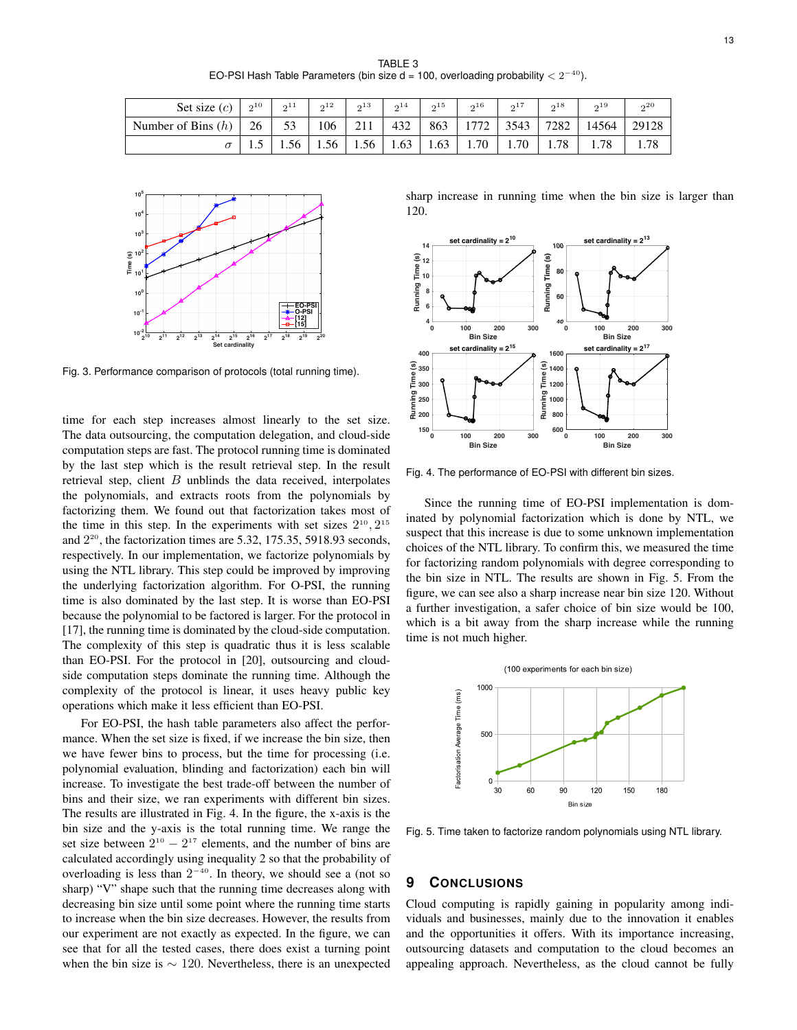TABLE 3 EO-PSI Hash Table Parameters (bin size  $d = 100$ , overloading probability  $< 2^{-40}$ ).

| Set size $(c)$       | $\gamma$ <sup>10</sup> | 0 <sub>11</sub> | 012  | 013  | 214  | 0.15 | $\Omega$ <sup>16</sup> | $2^{17}$ | 0.18 | 219   | $2^{20}\,$ |
|----------------------|------------------------|-----------------|------|------|------|------|------------------------|----------|------|-------|------------|
| Number of Bins $(h)$ | 26                     | 53              | 106  | 211  | 432  | 863  | 1772                   | 3543     | 7282 | 14564 | 29128      |
|                      | ر. .                   |                 | 1.56 | 1.56 | 1.63 | 1.63 | 1.70                   | 1.70     | 1.78 | 1.78  | 1.78       |



Fig. 3. Performance comparison of protocols (total running time).

time for each step increases almost linearly to the set size. The data outsourcing, the computation delegation, and cloud-side computation steps are fast. The protocol running time is dominated by the last step which is the result retrieval step. In the result retrieval step, client  $B$  unblinds the data received, interpolates the polynomials, and extracts roots from the polynomials by factorizing them. We found out that factorization takes most of the time in this step. In the experiments with set sizes  $2^{10}$ ,  $2^{15}$ and  $2^{20}$ , the factorization times are 5.32, 175.35, 5918.93 seconds, respectively. In our implementation, we factorize polynomials by using the NTL library. This step could be improved by improving the underlying factorization algorithm. For O-PSI, the running time is also dominated by the last step. It is worse than EO-PSI because the polynomial to be factored is larger. For the protocol in [17], the running time is dominated by the cloud-side computation. The complexity of this step is quadratic thus it is less scalable than EO-PSI. For the protocol in [20], outsourcing and cloudside computation steps dominate the running time. Although the complexity of the protocol is linear, it uses heavy public key operations which make it less efficient than EO-PSI.

For EO-PSI, the hash table parameters also affect the performance. When the set size is fixed, if we increase the bin size, then we have fewer bins to process, but the time for processing (i.e. polynomial evaluation, blinding and factorization) each bin will increase. To investigate the best trade-off between the number of bins and their size, we ran experiments with different bin sizes. The results are illustrated in Fig. 4. In the figure, the x-axis is the bin size and the y-axis is the total running time. We range the set size between  $2^{10} - 2^{17}$  elements, and the number of bins are calculated accordingly using inequality 2 so that the probability of overloading is less than  $2^{-40}$ . In theory, we should see a (not so sharp) "V" shape such that the running time decreases along with decreasing bin size until some point where the running time starts to increase when the bin size decreases. However, the results from our experiment are not exactly as expected. In the figure, we can see that for all the tested cases, there does exist a turning point when the bin size is  $\sim$  120. Nevertheless, there is an unexpected sharp increase in running time when the bin size is larger than 120.



Fig. 4. The performance of EO-PSI with different bin sizes.

Since the running time of EO-PSI implementation is dominated by polynomial factorization which is done by NTL, we suspect that this increase is due to some unknown implementation choices of the NTL library. To confirm this, we measured the time for factorizing random polynomials with degree corresponding to the bin size in NTL. The results are shown in Fig. 5. From the figure, we can see also a sharp increase near bin size 120. Without a further investigation, a safer choice of bin size would be 100, which is a bit away from the sharp increase while the running time is not much higher.



Fig. 5. Time taken to factorize random polynomials using NTL library.

# **9 CONCLUSIONS**

Cloud computing is rapidly gaining in popularity among individuals and businesses, mainly due to the innovation it enables and the opportunities it offers. With its importance increasing, outsourcing datasets and computation to the cloud becomes an appealing approach. Nevertheless, as the cloud cannot be fully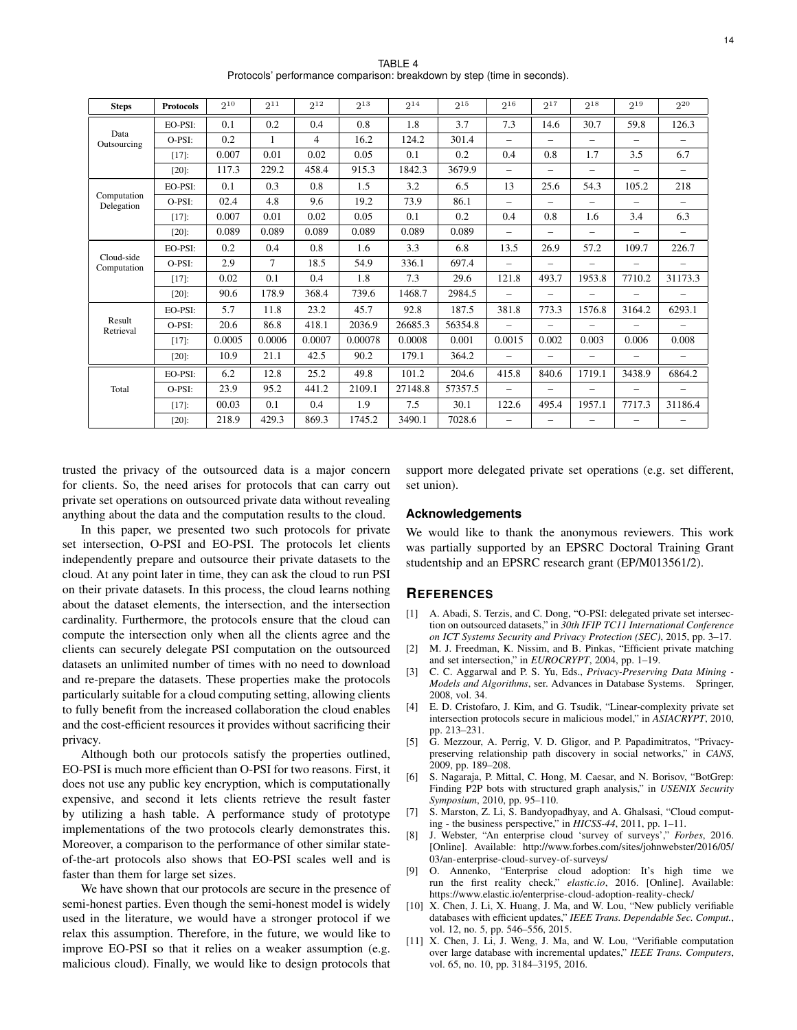TABLE 4 Protocols' performance comparison: breakdown by step (time in seconds).

| <b>Steps</b>              | <b>Protocols</b> | $2^{10}$ | $2^{11}$ | $2^{12}$       | $2^{13}$ | $2^{14}$ | $2^{15}$ | $2^{16}$                 | $2^{17}$                 | $2^{18}$                 | $2^{19}$                 | $2^{20}$                 |
|---------------------------|------------------|----------|----------|----------------|----------|----------|----------|--------------------------|--------------------------|--------------------------|--------------------------|--------------------------|
|                           | EO-PSI:          | 0.1      | 0.2      | 0.4            | 0.8      | 1.8      | 3.7      | 7.3                      | 14.6                     | 30.7                     | 59.8                     | 126.3                    |
| Data<br>Outsourcing       | $O-PSI:$         | 0.2      | 1        | $\overline{4}$ | 16.2     | 124.2    | 301.4    | $\overline{\phantom{0}}$ | $\overline{\phantom{0}}$ | $\overline{\phantom{0}}$ | -                        | $\overline{\phantom{0}}$ |
|                           | $[17]$ :         | 0.007    | 0.01     | 0.02           | 0.05     | 0.1      | 0.2      | 0.4                      | 0.8                      | 1.7                      | 3.5                      | 6.7                      |
|                           | $[20]$ :         | 117.3    | 229.2    | 458.4          | 915.3    | 1842.3   | 3679.9   |                          | $\overline{\phantom{0}}$ | $\overline{\phantom{0}}$ | -                        | $\overline{\phantom{0}}$ |
|                           | EO-PSI:          | 0.1      | 0.3      | 0.8            | 1.5      | 3.2      | 6.5      | 13                       | 25.6                     | 54.3                     | 105.2                    | 218                      |
| Computation<br>Delegation | O-PSI:           | 02.4     | 4.8      | 9.6            | 19.2     | 73.9     | 86.1     |                          | $\overline{\phantom{0}}$ |                          | -                        | $\equiv$                 |
|                           | $[17]$ :         | 0.007    | 0.01     | 0.02           | 0.05     | 0.1      | 0.2      | 0.4                      | 0.8                      | 1.6                      | 3.4                      | 6.3                      |
|                           | $[20]$ :         | 0.089    | 0.089    | 0.089          | 0.089    | 0.089    | 0.089    | $\overline{\phantom{0}}$ | $\overline{\phantom{0}}$ | $\overline{\phantom{0}}$ | $\overline{\phantom{0}}$ | $\overline{\phantom{0}}$ |
|                           | EO-PSI:          | 0.2      | 0.4      | 0.8            | 1.6      | 3.3      | 6.8      | 13.5                     | 26.9                     | 57.2                     | 109.7                    | 226.7                    |
| Cloud-side<br>Computation | O-PSI:           | 2.9      | 7        | 18.5           | 54.9     | 336.1    | 697.4    | $\overline{\phantom{0}}$ | $\overline{\phantom{0}}$ | $\overline{\phantom{0}}$ | $\overline{\phantom{0}}$ | $\overline{\phantom{0}}$ |
|                           | $[17]$ :         | 0.02     | 0.1      | 0.4            | 1.8      | 7.3      | 29.6     | 121.8                    | 493.7                    | 1953.8                   | 7710.2                   | 31173.3                  |
|                           | $[20]$ :         | 90.6     | 178.9    | 368.4          | 739.6    | 1468.7   | 2984.5   | $\overline{\phantom{0}}$ | $\overline{\phantom{0}}$ | $\overline{\phantom{0}}$ |                          | $\overline{\phantom{0}}$ |
|                           | EO-PSI:          | 5.7      | 11.8     | 23.2           | 45.7     | 92.8     | 187.5    | 381.8                    | 773.3                    | 1576.8                   | 3164.2                   | 6293.1                   |
| Result<br>Retrieval       | O-PSI:           | 20.6     | 86.8     | 418.1          | 2036.9   | 26685.3  | 56354.8  | $\overline{\phantom{0}}$ | $\overline{\phantom{0}}$ | $\overline{\phantom{0}}$ | $\overline{\phantom{0}}$ | $\overline{\phantom{0}}$ |
|                           | $[17]$ :         | 0.0005   | 0.0006   | 0.0007         | 0.00078  | 0.0008   | 0.001    | 0.0015                   | 0.002                    | 0.003                    | 0.006                    | 0.008                    |
|                           | $[20]$ :         | 10.9     | 21.1     | 42.5           | 90.2     | 179.1    | 364.2    | $\overline{\phantom{0}}$ | $\overline{\phantom{0}}$ | $\overline{\phantom{0}}$ | -                        | -                        |
|                           | EO-PSI:          | 6.2      | 12.8     | 25.2           | 49.8     | 101.2    | 204.6    | 415.8                    | 840.6                    | 1719.1                   | 3438.9                   | 6864.2                   |
| Total                     | O-PSI:           | 23.9     | 95.2     | 441.2          | 2109.1   | 27148.8  | 57357.5  | $\overline{\phantom{0}}$ | $\overline{\phantom{0}}$ | $\overline{\phantom{0}}$ | $\overline{\phantom{0}}$ | $\overline{\phantom{0}}$ |
|                           | $[17]$ :         | 00.03    | 0.1      | 0.4            | 1.9      | 7.5      | 30.1     | 122.6                    | 495.4                    | 1957.1                   | 7717.3                   | 31186.4                  |
|                           | $[20]$ :         | 218.9    | 429.3    | 869.3          | 1745.2   | 3490.1   | 7028.6   | $\overline{\phantom{0}}$ | $\overline{\phantom{0}}$ | $\overline{\phantom{0}}$ | —                        | $\overline{\phantom{0}}$ |

trusted the privacy of the outsourced data is a major concern for clients. So, the need arises for protocols that can carry out private set operations on outsourced private data without revealing anything about the data and the computation results to the cloud.

In this paper, we presented two such protocols for private set intersection, O-PSI and EO-PSI. The protocols let clients independently prepare and outsource their private datasets to the cloud. At any point later in time, they can ask the cloud to run PSI on their private datasets. In this process, the cloud learns nothing about the dataset elements, the intersection, and the intersection cardinality. Furthermore, the protocols ensure that the cloud can compute the intersection only when all the clients agree and the clients can securely delegate PSI computation on the outsourced datasets an unlimited number of times with no need to download and re-prepare the datasets. These properties make the protocols particularly suitable for a cloud computing setting, allowing clients to fully benefit from the increased collaboration the cloud enables and the cost-efficient resources it provides without sacrificing their privacy.

Although both our protocols satisfy the properties outlined, EO-PSI is much more efficient than O-PSI for two reasons. First, it does not use any public key encryption, which is computationally expensive, and second it lets clients retrieve the result faster by utilizing a hash table. A performance study of prototype implementations of the two protocols clearly demonstrates this. Moreover, a comparison to the performance of other similar stateof-the-art protocols also shows that EO-PSI scales well and is faster than them for large set sizes.

We have shown that our protocols are secure in the presence of semi-honest parties. Even though the semi-honest model is widely used in the literature, we would have a stronger protocol if we relax this assumption. Therefore, in the future, we would like to improve EO-PSI so that it relies on a weaker assumption (e.g. malicious cloud). Finally, we would like to design protocols that

support more delegated private set operations (e.g. set different, set union).

#### **Acknowledgements**

We would like to thank the anonymous reviewers. This work was partially supported by an EPSRC Doctoral Training Grant studentship and an EPSRC research grant (EP/M013561/2).

# **REFERENCES**

- [1] A. Abadi, S. Terzis, and C. Dong, "O-PSI: delegated private set intersection on outsourced datasets," in *30th IFIP TC11 International Conference on ICT Systems Security and Privacy Protection (SEC)*, 2015, pp. 3–17.
- M. J. Freedman, K. Nissim, and B. Pinkas, "Efficient private matching and set intersection," in *EUROCRYPT*, 2004, pp. 1–19.
- [3] C. C. Aggarwal and P. S. Yu, Eds., *Privacy-Preserving Data Mining - Models and Algorithms*, ser. Advances in Database Systems. Springer, 2008, vol. 34.
- [4] E. D. Cristofaro, J. Kim, and G. Tsudik, "Linear-complexity private set intersection protocols secure in malicious model," in *ASIACRYPT*, 2010, pp. 213–231.
- [5] G. Mezzour, A. Perrig, V. D. Gligor, and P. Papadimitratos, "Privacypreserving relationship path discovery in social networks," in *CANS*, 2009, pp. 189–208.
- [6] S. Nagaraja, P. Mittal, C. Hong, M. Caesar, and N. Borisov, "BotGrep: Finding P2P bots with structured graph analysis," in *USENIX Security Symposium*, 2010, pp. 95–110.
- [7] S. Marston, Z. Li, S. Bandyopadhyay, and A. Ghalsasi, "Cloud computing - the business perspective," in *HICSS-44*, 2011, pp. 1–11.
- [8] J. Webster, "An enterprise cloud 'survey of surveys'," *Forbes*, 2016. [Online]. Available: http://www.forbes.com/sites/johnwebster/2016/05/ 03/an-enterprise-cloud-survey-of-surveys/
- [9] O. Annenko, "Enterprise cloud adoption: It's high time we run the first reality check," *elastic.io*, 2016. [Online]. Available: https://www.elastic.io/enterprise-cloud-adoption-reality-check/
- [10] X. Chen, J. Li, X. Huang, J. Ma, and W. Lou, "New publicly verifiable databases with efficient updates," *IEEE Trans. Dependable Sec. Comput.*, vol. 12, no. 5, pp. 546–556, 2015.
- [11] X. Chen, J. Li, J. Weng, J. Ma, and W. Lou, "Verifiable computation over large database with incremental updates," *IEEE Trans. Computers*, vol. 65, no. 10, pp. 3184–3195, 2016.